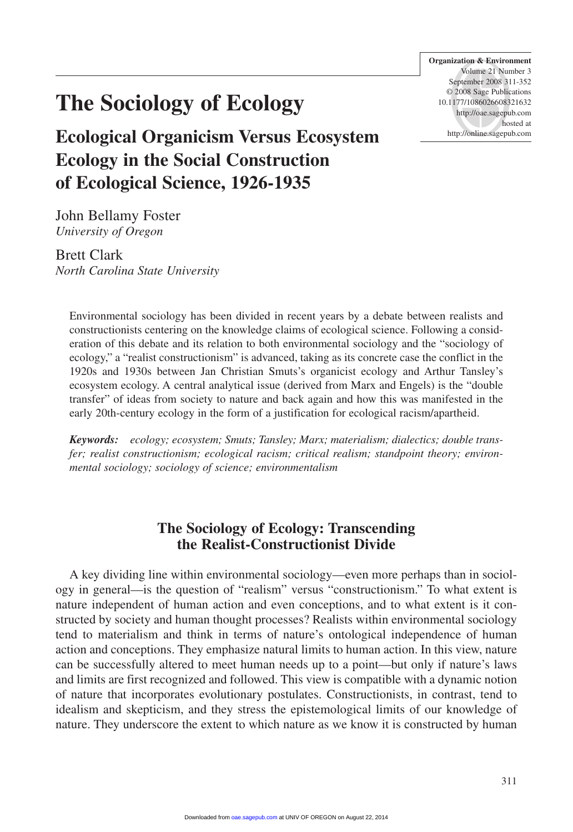**Organization & Environment** Volume 21 Number 3 September 2008 311-352 © 2008 Sage Publications 10.1177/1086026608321632 http://oae.sagepub.com hosted at http://online.sagepub.com

# **The Sociology of Ecology**

## **Ecological Organicism Versus Ecosystem Ecology in the Social Construction of Ecological Science, 1926-1935**

John Bellamy Foster *University of Oregon*

Brett Clark *North Carolina State University*

Environmental sociology has been divided in recent years by a debate between realists and constructionists centering on the knowledge claims of ecological science. Following a consideration of this debate and its relation to both environmental sociology and the "sociology of ecology," a "realist constructionism" is advanced, taking as its concrete case the conflict in the 1920s and 1930s between Jan Christian Smuts's organicist ecology and Arthur Tansley's ecosystem ecology. A central analytical issue (derived from Marx and Engels) is the "double transfer" of ideas from society to nature and back again and how this was manifested in the early 20th-century ecology in the form of a justification for ecological racism/apartheid.

*Keywords: ecology; ecosystem; Smuts; Tansley; Marx; materialism; dialectics; double transfer; realist constructionism; ecological racism; critical realism; standpoint theory; environmental sociology; sociology of science; environmentalism*

## **The Sociology of Ecology: Transcending the Realist-Constructionist Divide**

A key dividing line within environmental sociology—even more perhaps than in sociology in general—is the question of "realism" versus "constructionism." To what extent is nature independent of human action and even conceptions, and to what extent is it constructed by society and human thought processes? Realists within environmental sociology tend to materialism and think in terms of nature's ontological independence of human action and conceptions. They emphasize natural limits to human action. In this view, nature can be successfully altered to meet human needs up to a point—but only if nature's laws and limits are first recognized and followed. This view is compatible with a dynamic notion of nature that incorporates evolutionary postulates. Constructionists, in contrast, tend to idealism and skepticism, and they stress the epistemological limits of our knowledge of nature. They underscore the extent to which nature as we know it is constructed by human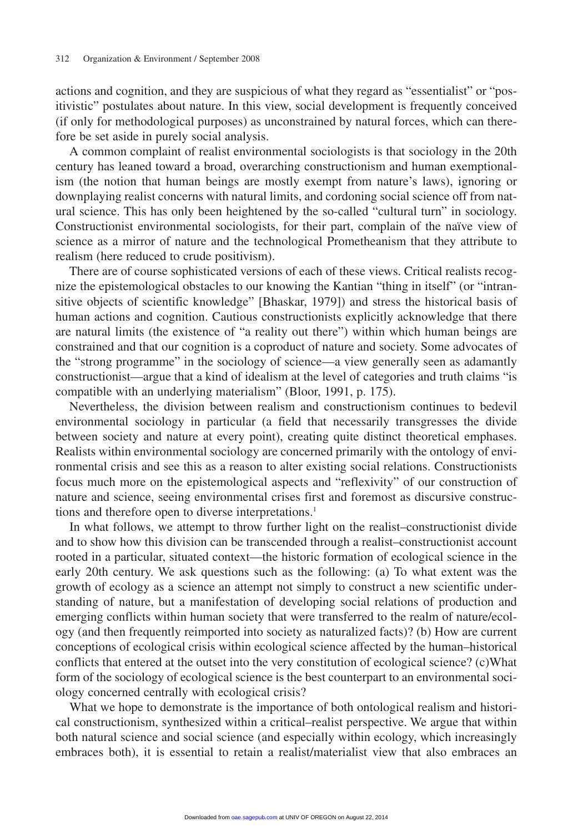actions and cognition, and they are suspicious of what they regard as "essentialist" or "positivistic" postulates about nature. In this view, social development is frequently conceived (if only for methodological purposes) as unconstrained by natural forces, which can therefore be set aside in purely social analysis.

A common complaint of realist environmental sociologists is that sociology in the 20th century has leaned toward a broad, overarching constructionism and human exemptionalism (the notion that human beings are mostly exempt from nature's laws), ignoring or downplaying realist concerns with natural limits, and cordoning social science off from natural science. This has only been heightened by the so-called "cultural turn" in sociology. Constructionist environmental sociologists, for their part, complain of the naïve view of science as a mirror of nature and the technological Prometheanism that they attribute to realism (here reduced to crude positivism).

There are of course sophisticated versions of each of these views. Critical realists recognize the epistemological obstacles to our knowing the Kantian "thing in itself" (or "intransitive objects of scientific knowledge" [Bhaskar, 1979]) and stress the historical basis of human actions and cognition. Cautious constructionists explicitly acknowledge that there are natural limits (the existence of "a reality out there") within which human beings are constrained and that our cognition is a coproduct of nature and society. Some advocates of the "strong programme" in the sociology of science—a view generally seen as adamantly constructionist—argue that a kind of idealism at the level of categories and truth claims "is compatible with an underlying materialism" (Bloor, 1991, p. 175).

Nevertheless, the division between realism and constructionism continues to bedevil environmental sociology in particular (a field that necessarily transgresses the divide between society and nature at every point), creating quite distinct theoretical emphases. Realists within environmental sociology are concerned primarily with the ontology of environmental crisis and see this as a reason to alter existing social relations. Constructionists focus much more on the epistemological aspects and "reflexivity" of our construction of nature and science, seeing environmental crises first and foremost as discursive constructions and therefore open to diverse interpretations.<sup>1</sup>

In what follows, we attempt to throw further light on the realist–constructionist divide and to show how this division can be transcended through a realist–constructionist account rooted in a particular, situated context—the historic formation of ecological science in the early 20th century. We ask questions such as the following: (a) To what extent was the growth of ecology as a science an attempt not simply to construct a new scientific understanding of nature, but a manifestation of developing social relations of production and emerging conflicts within human society that were transferred to the realm of nature/ecology (and then frequently reimported into society as naturalized facts)? (b) How are current conceptions of ecological crisis within ecological science affected by the human–historical conflicts that entered at the outset into the very constitution of ecological science? (c)What form of the sociology of ecological science is the best counterpart to an environmental sociology concerned centrally with ecological crisis?

What we hope to demonstrate is the importance of both ontological realism and historical constructionism, synthesized within a critical–realist perspective. We argue that within both natural science and social science (and especially within ecology, which increasingly embraces both), it is essential to retain a realist/materialist view that also embraces an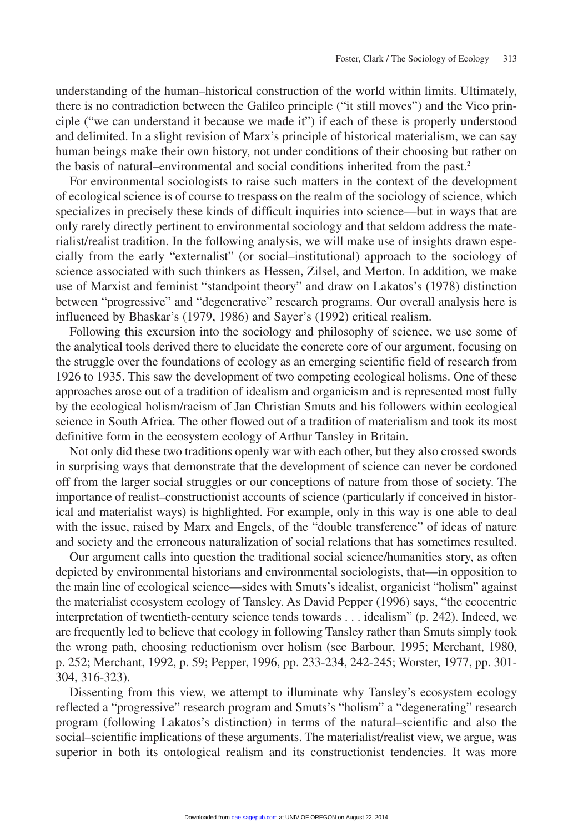understanding of the human–historical construction of the world within limits. Ultimately, there is no contradiction between the Galileo principle ("it still moves") and the Vico principle ("we can understand it because we made it") if each of these is properly understood and delimited. In a slight revision of Marx's principle of historical materialism, we can say human beings make their own history, not under conditions of their choosing but rather on the basis of natural–environmental and social conditions inherited from the past.<sup>2</sup>

For environmental sociologists to raise such matters in the context of the development of ecological science is of course to trespass on the realm of the sociology of science, which specializes in precisely these kinds of difficult inquiries into science—but in ways that are only rarely directly pertinent to environmental sociology and that seldom address the materialist/realist tradition. In the following analysis, we will make use of insights drawn especially from the early "externalist" (or social–institutional) approach to the sociology of science associated with such thinkers as Hessen, Zilsel, and Merton. In addition, we make use of Marxist and feminist "standpoint theory" and draw on Lakatos's (1978) distinction between "progressive" and "degenerative" research programs. Our overall analysis here is influenced by Bhaskar's (1979, 1986) and Sayer's (1992) critical realism.

Following this excursion into the sociology and philosophy of science, we use some of the analytical tools derived there to elucidate the concrete core of our argument, focusing on the struggle over the foundations of ecology as an emerging scientific field of research from 1926 to 1935. This saw the development of two competing ecological holisms. One of these approaches arose out of a tradition of idealism and organicism and is represented most fully by the ecological holism/racism of Jan Christian Smuts and his followers within ecological science in South Africa. The other flowed out of a tradition of materialism and took its most definitive form in the ecosystem ecology of Arthur Tansley in Britain.

Not only did these two traditions openly war with each other, but they also crossed swords in surprising ways that demonstrate that the development of science can never be cordoned off from the larger social struggles or our conceptions of nature from those of society. The importance of realist–constructionist accounts of science (particularly if conceived in historical and materialist ways) is highlighted. For example, only in this way is one able to deal with the issue, raised by Marx and Engels, of the "double transference" of ideas of nature and society and the erroneous naturalization of social relations that has sometimes resulted.

Our argument calls into question the traditional social science/humanities story, as often depicted by environmental historians and environmental sociologists, that—in opposition to the main line of ecological science—sides with Smuts's idealist, organicist "holism" against the materialist ecosystem ecology of Tansley. As David Pepper (1996) says, "the ecocentric interpretation of twentieth-century science tends towards . . . idealism" (p. 242). Indeed, we are frequently led to believe that ecology in following Tansley rather than Smuts simply took the wrong path, choosing reductionism over holism (see Barbour, 1995; Merchant, 1980, p. 252; Merchant, 1992, p. 59; Pepper, 1996, pp. 233-234, 242-245; Worster, 1977, pp. 301- 304, 316-323).

Dissenting from this view, we attempt to illuminate why Tansley's ecosystem ecology reflected a "progressive" research program and Smuts's "holism" a "degenerating" research program (following Lakatos's distinction) in terms of the natural–scientific and also the social–scientific implications of these arguments. The materialist/realist view, we argue, was superior in both its ontological realism and its constructionist tendencies. It was more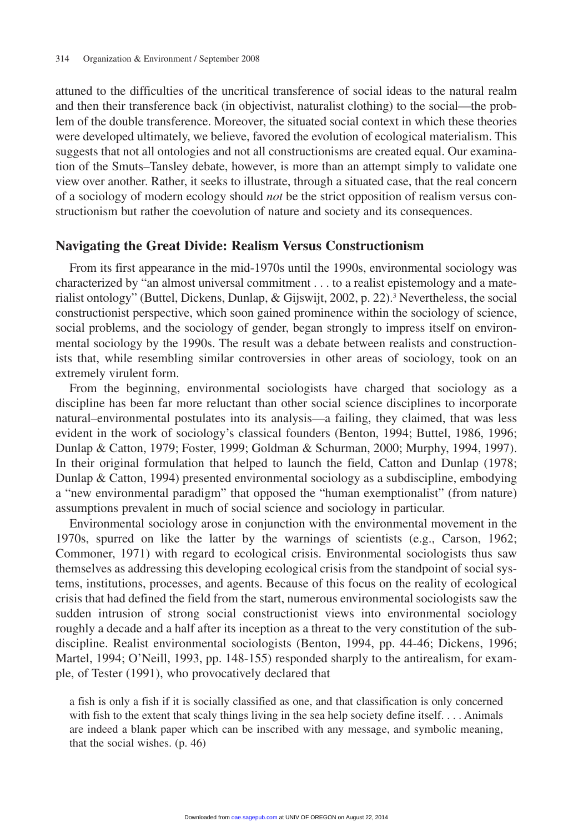attuned to the difficulties of the uncritical transference of social ideas to the natural realm and then their transference back (in objectivist, naturalist clothing) to the social—the problem of the double transference. Moreover, the situated social context in which these theories were developed ultimately, we believe, favored the evolution of ecological materialism. This suggests that not all ontologies and not all constructionisms are created equal. Our examination of the Smuts–Tansley debate, however, is more than an attempt simply to validate one view over another. Rather, it seeks to illustrate, through a situated case, that the real concern of a sociology of modern ecology should *not* be the strict opposition of realism versus constructionism but rather the coevolution of nature and society and its consequences.

#### **Navigating the Great Divide: Realism Versus Constructionism**

From its first appearance in the mid-1970s until the 1990s, environmental sociology was characterized by "an almost universal commitment . . . to a realist epistemology and a materialist ontology" (Buttel, Dickens, Dunlap, & Gijswijt, 2002, p. 22).<sup>3</sup> Nevertheless, the social constructionist perspective, which soon gained prominence within the sociology of science, social problems, and the sociology of gender, began strongly to impress itself on environmental sociology by the 1990s. The result was a debate between realists and constructionists that, while resembling similar controversies in other areas of sociology, took on an extremely virulent form.

From the beginning, environmental sociologists have charged that sociology as a discipline has been far more reluctant than other social science disciplines to incorporate natural–environmental postulates into its analysis—a failing, they claimed, that was less evident in the work of sociology's classical founders (Benton, 1994; Buttel, 1986, 1996; Dunlap & Catton, 1979; Foster, 1999; Goldman & Schurman, 2000; Murphy, 1994, 1997). In their original formulation that helped to launch the field, Catton and Dunlap (1978; Dunlap & Catton, 1994) presented environmental sociology as a subdiscipline, embodying a "new environmental paradigm" that opposed the "human exemptionalist" (from nature) assumptions prevalent in much of social science and sociology in particular.

Environmental sociology arose in conjunction with the environmental movement in the 1970s, spurred on like the latter by the warnings of scientists (e.g., Carson, 1962; Commoner, 1971) with regard to ecological crisis. Environmental sociologists thus saw themselves as addressing this developing ecological crisis from the standpoint of social systems, institutions, processes, and agents. Because of this focus on the reality of ecological crisis that had defined the field from the start, numerous environmental sociologists saw the sudden intrusion of strong social constructionist views into environmental sociology roughly a decade and a half after its inception as a threat to the very constitution of the subdiscipline. Realist environmental sociologists (Benton, 1994, pp. 44-46; Dickens, 1996; Martel, 1994; O'Neill, 1993, pp. 148-155) responded sharply to the antirealism, for example, of Tester (1991), who provocatively declared that

a fish is only a fish if it is socially classified as one, and that classification is only concerned with fish to the extent that scaly things living in the sea help society define itself. . . . Animals are indeed a blank paper which can be inscribed with any message, and symbolic meaning, that the social wishes. (p. 46)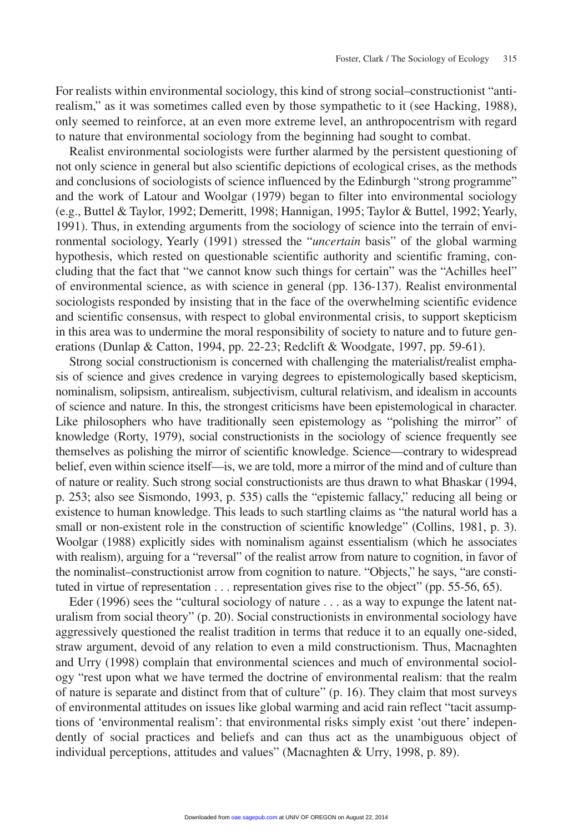For realists within environmental sociology, this kind of strong social–constructionist "antirealism," as it was sometimes called even by those sympathetic to it (see Hacking, 1988), only seemed to reinforce, at an even more extreme level, an anthropocentrism with regard to nature that environmental sociology from the beginning had sought to combat.

Realist environmental sociologists were further alarmed by the persistent questioning of not only science in general but also scientific depictions of ecological crises, as the methods and conclusions of sociologists of science influenced by the Edinburgh "strong programme" and the work of Latour and Woolgar (1979) began to filter into environmental sociology (e.g., Buttel & Taylor, 1992; Demeritt, 1998; Hannigan, 1995; Taylor & Buttel, 1992; Yearly, 1991). Thus, in extending arguments from the sociology of science into the terrain of environmental sociology, Yearly (1991) stressed the "*uncertain* basis" of the global warming hypothesis, which rested on questionable scientific authority and scientific framing, concluding that the fact that "we cannot know such things for certain" was the "Achilles heel" of environmental science, as with science in general (pp. 136-137). Realist environmental sociologists responded by insisting that in the face of the overwhelming scientific evidence and scientific consensus, with respect to global environmental crisis, to support skepticism in this area was to undermine the moral responsibility of society to nature and to future generations (Dunlap & Catton, 1994, pp. 22-23; Redclift & Woodgate, 1997, pp. 59-61).

Strong social constructionism is concerned with challenging the materialist/realist emphasis of science and gives credence in varying degrees to epistemologically based skepticism, nominalism, solipsism, antirealism, subjectivism, cultural relativism, and idealism in accounts of science and nature. In this, the strongest criticisms have been epistemological in character. Like philosophers who have traditionally seen epistemology as "polishing the mirror" of knowledge (Rorty, 1979), social constructionists in the sociology of science frequently see themselves as polishing the mirror of scientific knowledge. Science—contrary to widespread belief, even within science itself—is, we are told, more a mirror of the mind and of culture than of nature or reality. Such strong social constructionists are thus drawn to what Bhaskar (1994, p. 253; also see Sismondo, 1993, p. 535) calls the "epistemic fallacy," reducing all being or existence to human knowledge. This leads to such startling claims as "the natural world has a small or non-existent role in the construction of scientific knowledge" (Collins, 1981, p. 3). Woolgar (1988) explicitly sides with nominalism against essentialism (which he associates with realism), arguing for a "reversal" of the realist arrow from nature to cognition, in favor of the nominalist–constructionist arrow from cognition to nature. "Objects," he says, "are constituted in virtue of representation . . . representation gives rise to the object" (pp. 55-56, 65).

Eder (1996) sees the "cultural sociology of nature . . . as a way to expunge the latent naturalism from social theory" (p. 20). Social constructionists in environmental sociology have aggressively questioned the realist tradition in terms that reduce it to an equally one-sided, straw argument, devoid of any relation to even a mild constructionism. Thus, Macnaghten and Urry (1998) complain that environmental sciences and much of environmental sociology "rest upon what we have termed the doctrine of environmental realism: that the realm of nature is separate and distinct from that of culture" (p. 16). They claim that most surveys of environmental attitudes on issues like global warming and acid rain reflect "tacit assumptions of 'environmental realism': that environmental risks simply exist 'out there' independently of social practices and beliefs and can thus act as the unambiguous object of individual perceptions, attitudes and values" (Macnaghten & Urry, 1998, p. 89).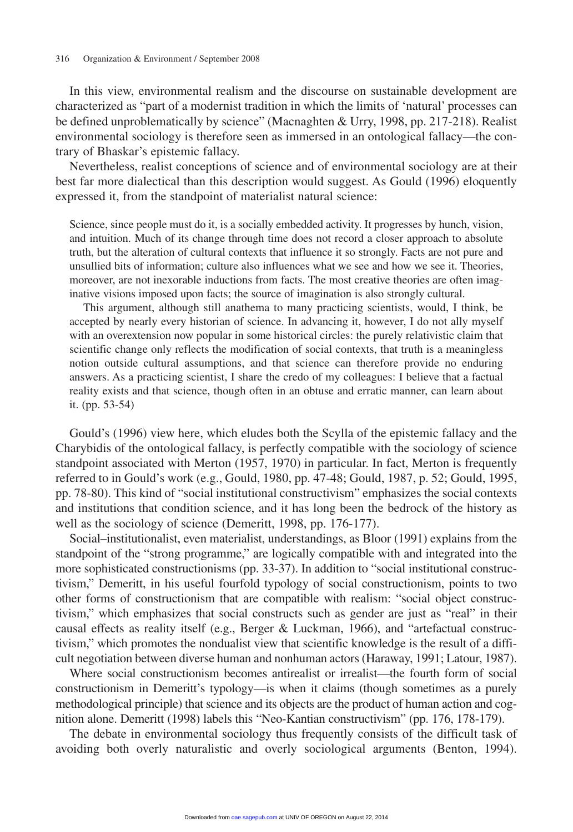In this view, environmental realism and the discourse on sustainable development are characterized as "part of a modernist tradition in which the limits of 'natural' processes can be defined unproblematically by science" (Macnaghten & Urry, 1998, pp. 217-218). Realist environmental sociology is therefore seen as immersed in an ontological fallacy—the contrary of Bhaskar's epistemic fallacy.

Nevertheless, realist conceptions of science and of environmental sociology are at their best far more dialectical than this description would suggest. As Gould (1996) eloquently expressed it, from the standpoint of materialist natural science:

Science, since people must do it, is a socially embedded activity. It progresses by hunch, vision, and intuition. Much of its change through time does not record a closer approach to absolute truth, but the alteration of cultural contexts that influence it so strongly. Facts are not pure and unsullied bits of information; culture also influences what we see and how we see it. Theories, moreover, are not inexorable inductions from facts. The most creative theories are often imaginative visions imposed upon facts; the source of imagination is also strongly cultural.

This argument, although still anathema to many practicing scientists, would, I think, be accepted by nearly every historian of science. In advancing it, however, I do not ally myself with an overextension now popular in some historical circles: the purely relativistic claim that scientific change only reflects the modification of social contexts, that truth is a meaningless notion outside cultural assumptions, and that science can therefore provide no enduring answers. As a practicing scientist, I share the credo of my colleagues: I believe that a factual reality exists and that science, though often in an obtuse and erratic manner, can learn about it. (pp. 53-54)

Gould's (1996) view here, which eludes both the Scylla of the epistemic fallacy and the Charybidis of the ontological fallacy, is perfectly compatible with the sociology of science standpoint associated with Merton (1957, 1970) in particular. In fact, Merton is frequently referred to in Gould's work (e.g., Gould, 1980, pp. 47-48; Gould, 1987, p. 52; Gould, 1995, pp. 78-80). This kind of "social institutional constructivism" emphasizes the social contexts and institutions that condition science, and it has long been the bedrock of the history as well as the sociology of science (Demeritt, 1998, pp. 176-177).

Social–institutionalist, even materialist, understandings, as Bloor (1991) explains from the standpoint of the "strong programme," are logically compatible with and integrated into the more sophisticated constructionisms (pp. 33-37). In addition to "social institutional constructivism," Demeritt, in his useful fourfold typology of social constructionism, points to two other forms of constructionism that are compatible with realism: "social object constructivism," which emphasizes that social constructs such as gender are just as "real" in their causal effects as reality itself (e.g., Berger & Luckman, 1966), and "artefactual constructivism," which promotes the nondualist view that scientific knowledge is the result of a difficult negotiation between diverse human and nonhuman actors (Haraway, 1991; Latour, 1987).

Where social constructionism becomes antirealist or irrealist—the fourth form of social constructionism in Demeritt's typology—is when it claims (though sometimes as a purely methodological principle) that science and its objects are the product of human action and cognition alone. Demeritt (1998) labels this "Neo-Kantian constructivism" (pp. 176, 178-179).

The debate in environmental sociology thus frequently consists of the difficult task of avoiding both overly naturalistic and overly sociological arguments (Benton, 1994).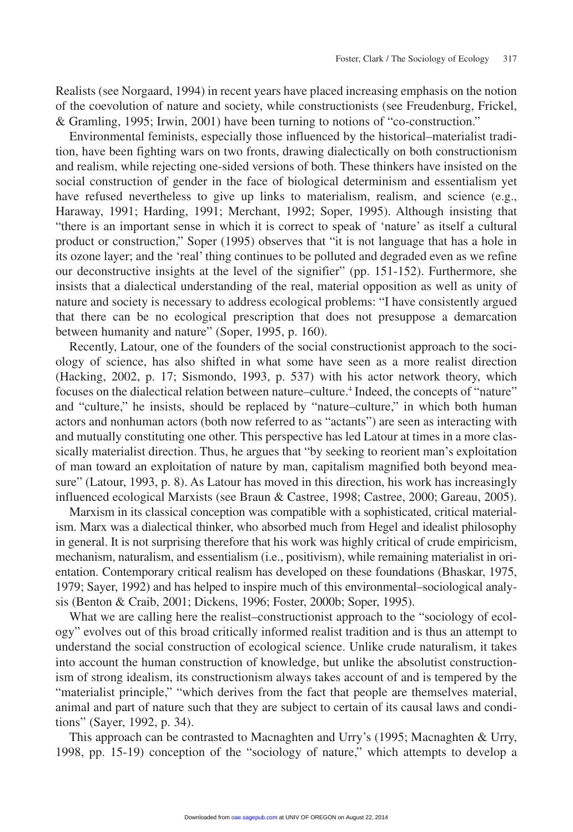Realists (see Norgaard, 1994) in recent years have placed increasing emphasis on the notion of the coevolution of nature and society, while constructionists (see Freudenburg, Frickel, & Gramling, 1995; Irwin, 2001) have been turning to notions of "co-construction."

Environmental feminists, especially those influenced by the historical–materialist tradition, have been fighting wars on two fronts, drawing dialectically on both constructionism and realism, while rejecting one-sided versions of both. These thinkers have insisted on the social construction of gender in the face of biological determinism and essentialism yet have refused nevertheless to give up links to materialism, realism, and science (e.g., Haraway, 1991; Harding, 1991; Merchant, 1992; Soper, 1995). Although insisting that "there is an important sense in which it is correct to speak of 'nature' as itself a cultural product or construction," Soper (1995) observes that "it is not language that has a hole in its ozone layer; and the 'real' thing continues to be polluted and degraded even as we refine our deconstructive insights at the level of the signifier" (pp. 151-152). Furthermore, she insists that a dialectical understanding of the real, material opposition as well as unity of nature and society is necessary to address ecological problems: "I have consistently argued that there can be no ecological prescription that does not presuppose a demarcation between humanity and nature" (Soper, 1995, p. 160).

Recently, Latour, one of the founders of the social constructionist approach to the sociology of science, has also shifted in what some have seen as a more realist direction (Hacking, 2002, p. 17; Sismondo, 1993, p. 537) with his actor network theory, which focuses on the dialectical relation between nature–culture.<sup>4</sup> Indeed, the concepts of "nature" and "culture," he insists, should be replaced by "nature–culture," in which both human actors and nonhuman actors (both now referred to as "actants") are seen as interacting with and mutually constituting one other. This perspective has led Latour at times in a more classically materialist direction. Thus, he argues that "by seeking to reorient man's exploitation of man toward an exploitation of nature by man, capitalism magnified both beyond measure" (Latour, 1993, p. 8). As Latour has moved in this direction, his work has increasingly influenced ecological Marxists (see Braun & Castree, 1998; Castree, 2000; Gareau, 2005).

Marxism in its classical conception was compatible with a sophisticated, critical materialism. Marx was a dialectical thinker, who absorbed much from Hegel and idealist philosophy in general. It is not surprising therefore that his work was highly critical of crude empiricism, mechanism, naturalism, and essentialism (i.e., positivism), while remaining materialist in orientation. Contemporary critical realism has developed on these foundations (Bhaskar, 1975, 1979; Sayer, 1992) and has helped to inspire much of this environmental–sociological analysis (Benton & Craib, 2001; Dickens, 1996; Foster, 2000b; Soper, 1995).

What we are calling here the realist–constructionist approach to the "sociology of ecology" evolves out of this broad critically informed realist tradition and is thus an attempt to understand the social construction of ecological science. Unlike crude naturalism, it takes into account the human construction of knowledge, but unlike the absolutist constructionism of strong idealism, its constructionism always takes account of and is tempered by the "materialist principle," "which derives from the fact that people are themselves material, animal and part of nature such that they are subject to certain of its causal laws and conditions" (Sayer, 1992, p. 34).

This approach can be contrasted to Macnaghten and Urry's (1995; Macnaghten & Urry, 1998, pp. 15-19) conception of the "sociology of nature," which attempts to develop a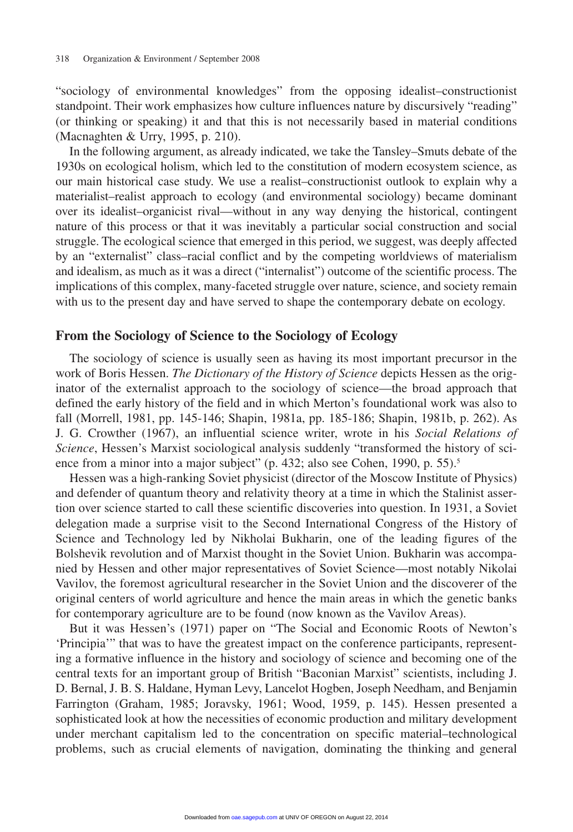"sociology of environmental knowledges" from the opposing idealist–constructionist standpoint. Their work emphasizes how culture influences nature by discursively "reading" (or thinking or speaking) it and that this is not necessarily based in material conditions (Macnaghten & Urry, 1995, p. 210).

In the following argument, as already indicated, we take the Tansley–Smuts debate of the 1930s on ecological holism, which led to the constitution of modern ecosystem science, as our main historical case study. We use a realist–constructionist outlook to explain why a materialist–realist approach to ecology (and environmental sociology) became dominant over its idealist–organicist rival—without in any way denying the historical, contingent nature of this process or that it was inevitably a particular social construction and social struggle. The ecological science that emerged in this period, we suggest, was deeply affected by an "externalist" class–racial conflict and by the competing worldviews of materialism and idealism, as much as it was a direct ("internalist") outcome of the scientific process. The implications of this complex, many-faceted struggle over nature, science, and society remain with us to the present day and have served to shape the contemporary debate on ecology.

#### **From the Sociology of Science to the Sociology of Ecology**

The sociology of science is usually seen as having its most important precursor in the work of Boris Hessen. *The Dictionary of the History of Science* depicts Hessen as the originator of the externalist approach to the sociology of science—the broad approach that defined the early history of the field and in which Merton's foundational work was also to fall (Morrell, 1981, pp. 145-146; Shapin, 1981a, pp. 185-186; Shapin, 1981b, p. 262). As J. G. Crowther (1967), an influential science writer, wrote in his *Social Relations of Science*, Hessen's Marxist sociological analysis suddenly "transformed the history of science from a minor into a major subject" (p. 432; also see Cohen, 1990, p. 55).<sup>5</sup>

Hessen was a high-ranking Soviet physicist (director of the Moscow Institute of Physics) and defender of quantum theory and relativity theory at a time in which the Stalinist assertion over science started to call these scientific discoveries into question. In 1931, a Soviet delegation made a surprise visit to the Second International Congress of the History of Science and Technology led by Nikholai Bukharin, one of the leading figures of the Bolshevik revolution and of Marxist thought in the Soviet Union. Bukharin was accompanied by Hessen and other major representatives of Soviet Science—most notably Nikolai Vavilov, the foremost agricultural researcher in the Soviet Union and the discoverer of the original centers of world agriculture and hence the main areas in which the genetic banks for contemporary agriculture are to be found (now known as the Vavilov Areas).

But it was Hessen's (1971) paper on "The Social and Economic Roots of Newton's 'Principia'" that was to have the greatest impact on the conference participants, representing a formative influence in the history and sociology of science and becoming one of the central texts for an important group of British "Baconian Marxist" scientists, including J. D. Bernal, J. B. S. Haldane, Hyman Levy, Lancelot Hogben, Joseph Needham, and Benjamin Farrington (Graham, 1985; Joravsky, 1961; Wood, 1959, p. 145). Hessen presented a sophisticated look at how the necessities of economic production and military development under merchant capitalism led to the concentration on specific material–technological problems, such as crucial elements of navigation, dominating the thinking and general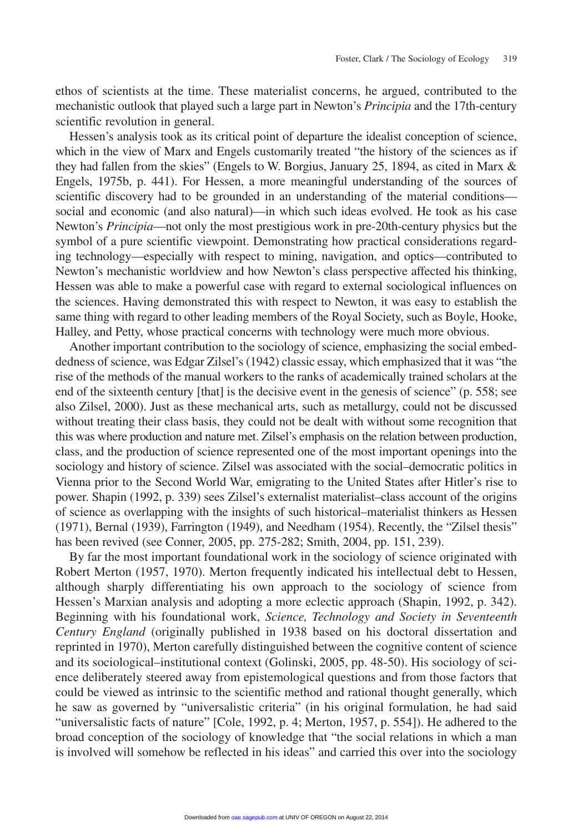ethos of scientists at the time. These materialist concerns, he argued, contributed to the mechanistic outlook that played such a large part in Newton's *Principia* and the 17th-century scientific revolution in general.

Hessen's analysis took as its critical point of departure the idealist conception of science, which in the view of Marx and Engels customarily treated "the history of the sciences as if they had fallen from the skies" (Engels to W. Borgius, January 25, 1894, as cited in Marx & Engels, 1975b, p. 441). For Hessen, a more meaningful understanding of the sources of scientific discovery had to be grounded in an understanding of the material conditions social and economic (and also natural)—in which such ideas evolved. He took as his case Newton's *Principia*—not only the most prestigious work in pre-20th-century physics but the symbol of a pure scientific viewpoint. Demonstrating how practical considerations regarding technology—especially with respect to mining, navigation, and optics—contributed to Newton's mechanistic worldview and how Newton's class perspective affected his thinking, Hessen was able to make a powerful case with regard to external sociological influences on the sciences. Having demonstrated this with respect to Newton, it was easy to establish the same thing with regard to other leading members of the Royal Society, such as Boyle, Hooke, Halley, and Petty, whose practical concerns with technology were much more obvious.

Another important contribution to the sociology of science, emphasizing the social embeddedness of science, was Edgar Zilsel's (1942) classic essay, which emphasized that it was "the rise of the methods of the manual workers to the ranks of academically trained scholars at the end of the sixteenth century [that] is the decisive event in the genesis of science" (p. 558; see also Zilsel, 2000). Just as these mechanical arts, such as metallurgy, could not be discussed without treating their class basis, they could not be dealt with without some recognition that this was where production and nature met. Zilsel's emphasis on the relation between production, class, and the production of science represented one of the most important openings into the sociology and history of science. Zilsel was associated with the social–democratic politics in Vienna prior to the Second World War, emigrating to the United States after Hitler's rise to power. Shapin (1992, p. 339) sees Zilsel's externalist materialist–class account of the origins of science as overlapping with the insights of such historical–materialist thinkers as Hessen (1971), Bernal (1939), Farrington (1949), and Needham (1954). Recently, the "Zilsel thesis" has been revived (see Conner, 2005, pp. 275-282; Smith, 2004, pp. 151, 239).

By far the most important foundational work in the sociology of science originated with Robert Merton (1957, 1970). Merton frequently indicated his intellectual debt to Hessen, although sharply differentiating his own approach to the sociology of science from Hessen's Marxian analysis and adopting a more eclectic approach (Shapin, 1992, p. 342). Beginning with his foundational work, *Science, Technology and Society in Seventeenth Century England* (originally published in 1938 based on his doctoral dissertation and reprinted in 1970), Merton carefully distinguished between the cognitive content of science and its sociological–institutional context (Golinski, 2005, pp. 48-50). His sociology of science deliberately steered away from epistemological questions and from those factors that could be viewed as intrinsic to the scientific method and rational thought generally, which he saw as governed by "universalistic criteria" (in his original formulation, he had said "universalistic facts of nature" [Cole, 1992, p. 4; Merton, 1957, p. 554]). He adhered to the broad conception of the sociology of knowledge that "the social relations in which a man is involved will somehow be reflected in his ideas" and carried this over into the sociology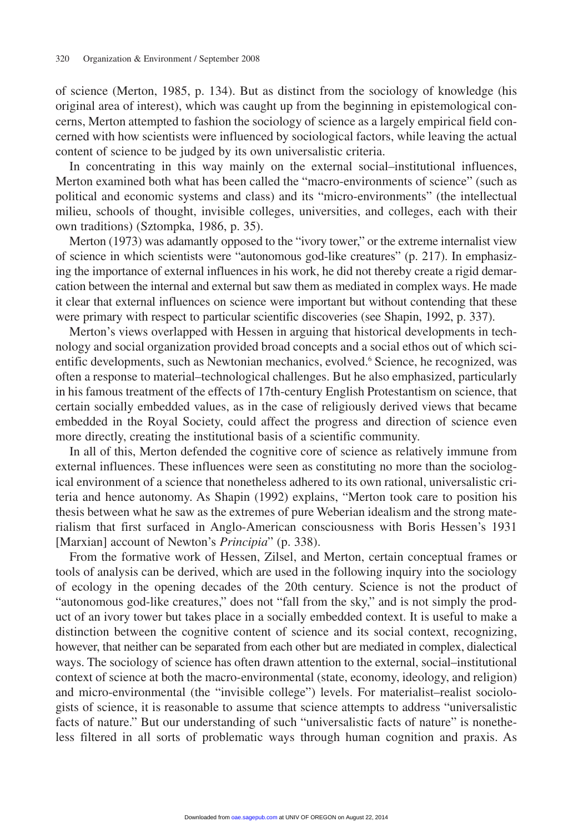of science (Merton, 1985, p. 134). But as distinct from the sociology of knowledge (his original area of interest), which was caught up from the beginning in epistemological concerns, Merton attempted to fashion the sociology of science as a largely empirical field concerned with how scientists were influenced by sociological factors, while leaving the actual content of science to be judged by its own universalistic criteria.

In concentrating in this way mainly on the external social–institutional influences, Merton examined both what has been called the "macro-environments of science" (such as political and economic systems and class) and its "micro-environments" (the intellectual milieu, schools of thought, invisible colleges, universities, and colleges, each with their own traditions) (Sztompka, 1986, p. 35).

Merton (1973) was adamantly opposed to the "ivory tower," or the extreme internalist view of science in which scientists were "autonomous god-like creatures" (p. 217). In emphasizing the importance of external influences in his work, he did not thereby create a rigid demarcation between the internal and external but saw them as mediated in complex ways. He made it clear that external influences on science were important but without contending that these were primary with respect to particular scientific discoveries (see Shapin, 1992, p. 337).

Merton's views overlapped with Hessen in arguing that historical developments in technology and social organization provided broad concepts and a social ethos out of which scientific developments, such as Newtonian mechanics, evolved.<sup>6</sup> Science, he recognized, was often a response to material–technological challenges. But he also emphasized, particularly in his famous treatment of the effects of 17th-century English Protestantism on science, that certain socially embedded values, as in the case of religiously derived views that became embedded in the Royal Society, could affect the progress and direction of science even more directly, creating the institutional basis of a scientific community.

In all of this, Merton defended the cognitive core of science as relatively immune from external influences. These influences were seen as constituting no more than the sociological environment of a science that nonetheless adhered to its own rational, universalistic criteria and hence autonomy. As Shapin (1992) explains, "Merton took care to position his thesis between what he saw as the extremes of pure Weberian idealism and the strong materialism that first surfaced in Anglo-American consciousness with Boris Hessen's 1931 [Marxian] account of Newton's *Principia*" (p. 338).

From the formative work of Hessen, Zilsel, and Merton, certain conceptual frames or tools of analysis can be derived, which are used in the following inquiry into the sociology of ecology in the opening decades of the 20th century. Science is not the product of "autonomous god-like creatures," does not "fall from the sky," and is not simply the product of an ivory tower but takes place in a socially embedded context. It is useful to make a distinction between the cognitive content of science and its social context, recognizing, however, that neither can be separated from each other but are mediated in complex, dialectical ways. The sociology of science has often drawn attention to the external, social–institutional context of science at both the macro-environmental (state, economy, ideology, and religion) and micro-environmental (the "invisible college") levels. For materialist–realist sociologists of science, it is reasonable to assume that science attempts to address "universalistic facts of nature." But our understanding of such "universalistic facts of nature" is nonetheless filtered in all sorts of problematic ways through human cognition and praxis. As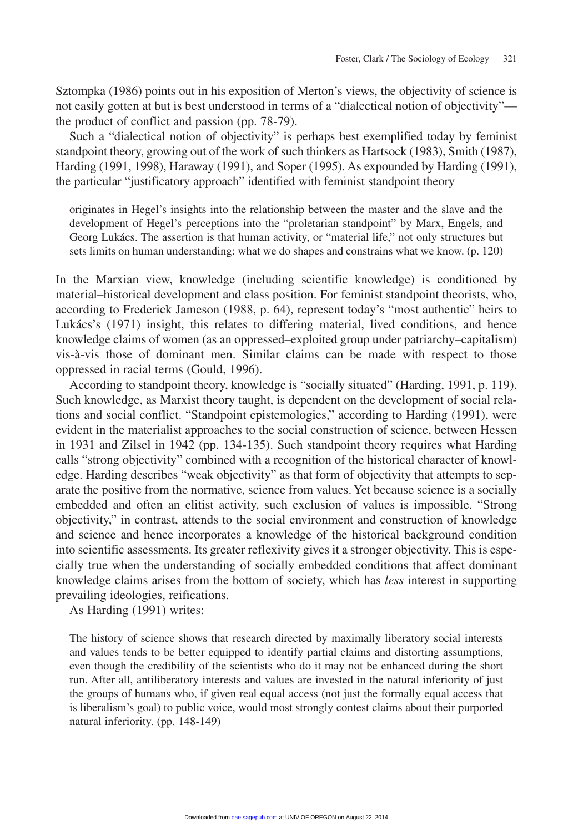Sztompka (1986) points out in his exposition of Merton's views, the objectivity of science is not easily gotten at but is best understood in terms of a "dialectical notion of objectivity" the product of conflict and passion (pp. 78-79).

Such a "dialectical notion of objectivity" is perhaps best exemplified today by feminist standpoint theory, growing out of the work of such thinkers as Hartsock (1983), Smith (1987), Harding (1991, 1998), Haraway (1991), and Soper (1995). As expounded by Harding (1991), the particular "justificatory approach" identified with feminist standpoint theory

originates in Hegel's insights into the relationship between the master and the slave and the development of Hegel's perceptions into the "proletarian standpoint" by Marx, Engels, and Georg Lukács. The assertion is that human activity, or "material life," not only structures but sets limits on human understanding: what we do shapes and constrains what we know. (p. 120)

In the Marxian view, knowledge (including scientific knowledge) is conditioned by material–historical development and class position. For feminist standpoint theorists, who, according to Frederick Jameson (1988, p. 64), represent today's "most authentic" heirs to Lukács's (1971) insight, this relates to differing material, lived conditions, and hence knowledge claims of women (as an oppressed–exploited group under patriarchy–capitalism) vis-à-vis those of dominant men. Similar claims can be made with respect to those oppressed in racial terms (Gould, 1996).

According to standpoint theory, knowledge is "socially situated" (Harding, 1991, p. 119). Such knowledge, as Marxist theory taught, is dependent on the development of social relations and social conflict. "Standpoint epistemologies," according to Harding (1991), were evident in the materialist approaches to the social construction of science, between Hessen in 1931 and Zilsel in 1942 (pp. 134-135). Such standpoint theory requires what Harding calls "strong objectivity" combined with a recognition of the historical character of knowledge. Harding describes "weak objectivity" as that form of objectivity that attempts to separate the positive from the normative, science from values. Yet because science is a socially embedded and often an elitist activity, such exclusion of values is impossible. "Strong objectivity," in contrast, attends to the social environment and construction of knowledge and science and hence incorporates a knowledge of the historical background condition into scientific assessments. Its greater reflexivity gives it a stronger objectivity. This is especially true when the understanding of socially embedded conditions that affect dominant knowledge claims arises from the bottom of society, which has *less* interest in supporting prevailing ideologies, reifications.

As Harding (1991) writes:

The history of science shows that research directed by maximally liberatory social interests and values tends to be better equipped to identify partial claims and distorting assumptions, even though the credibility of the scientists who do it may not be enhanced during the short run. After all, antiliberatory interests and values are invested in the natural inferiority of just the groups of humans who, if given real equal access (not just the formally equal access that is liberalism's goal) to public voice, would most strongly contest claims about their purported natural inferiority. (pp. 148-149)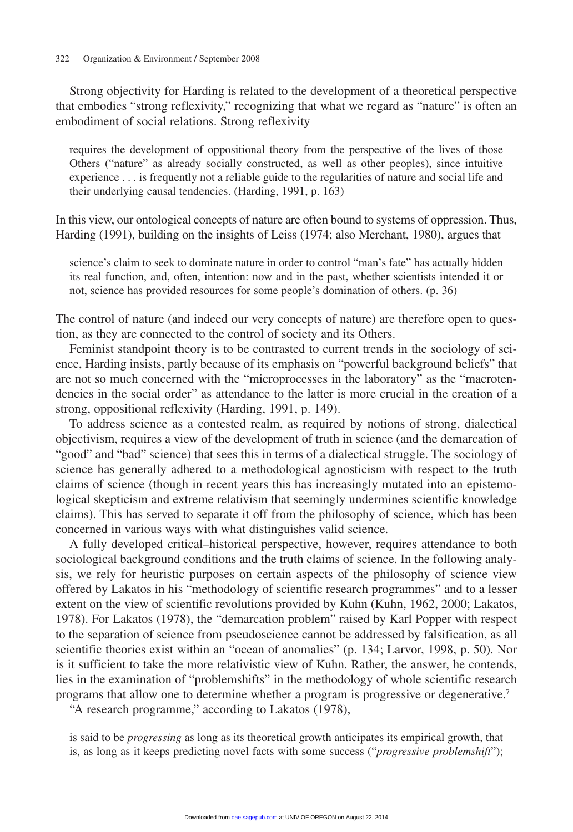Strong objectivity for Harding is related to the development of a theoretical perspective that embodies "strong reflexivity," recognizing that what we regard as "nature" is often an embodiment of social relations. Strong reflexivity

requires the development of oppositional theory from the perspective of the lives of those Others ("nature" as already socially constructed, as well as other peoples), since intuitive experience . . . is frequently not a reliable guide to the regularities of nature and social life and their underlying causal tendencies. (Harding, 1991, p. 163)

In this view, our ontological concepts of nature are often bound to systems of oppression. Thus, Harding (1991), building on the insights of Leiss (1974; also Merchant, 1980), argues that

science's claim to seek to dominate nature in order to control "man's fate" has actually hidden its real function, and, often, intention: now and in the past, whether scientists intended it or not, science has provided resources for some people's domination of others. (p. 36)

The control of nature (and indeed our very concepts of nature) are therefore open to question, as they are connected to the control of society and its Others.

Feminist standpoint theory is to be contrasted to current trends in the sociology of science, Harding insists, partly because of its emphasis on "powerful background beliefs" that are not so much concerned with the "microprocesses in the laboratory" as the "macrotendencies in the social order" as attendance to the latter is more crucial in the creation of a strong, oppositional reflexivity (Harding, 1991, p. 149).

To address science as a contested realm, as required by notions of strong, dialectical objectivism, requires a view of the development of truth in science (and the demarcation of "good" and "bad" science) that sees this in terms of a dialectical struggle. The sociology of science has generally adhered to a methodological agnosticism with respect to the truth claims of science (though in recent years this has increasingly mutated into an epistemological skepticism and extreme relativism that seemingly undermines scientific knowledge claims). This has served to separate it off from the philosophy of science, which has been concerned in various ways with what distinguishes valid science.

A fully developed critical–historical perspective, however, requires attendance to both sociological background conditions and the truth claims of science. In the following analysis, we rely for heuristic purposes on certain aspects of the philosophy of science view offered by Lakatos in his "methodology of scientific research programmes" and to a lesser extent on the view of scientific revolutions provided by Kuhn (Kuhn, 1962, 2000; Lakatos, 1978). For Lakatos (1978), the "demarcation problem" raised by Karl Popper with respect to the separation of science from pseudoscience cannot be addressed by falsification, as all scientific theories exist within an "ocean of anomalies" (p. 134; Larvor, 1998, p. 50). Nor is it sufficient to take the more relativistic view of Kuhn. Rather, the answer, he contends, lies in the examination of "problemshifts" in the methodology of whole scientific research programs that allow one to determine whether a program is progressive or degenerative.7

"A research programme," according to Lakatos (1978),

is said to be *progressing* as long as its theoretical growth anticipates its empirical growth, that is, as long as it keeps predicting novel facts with some success ("*progressive problemshift*");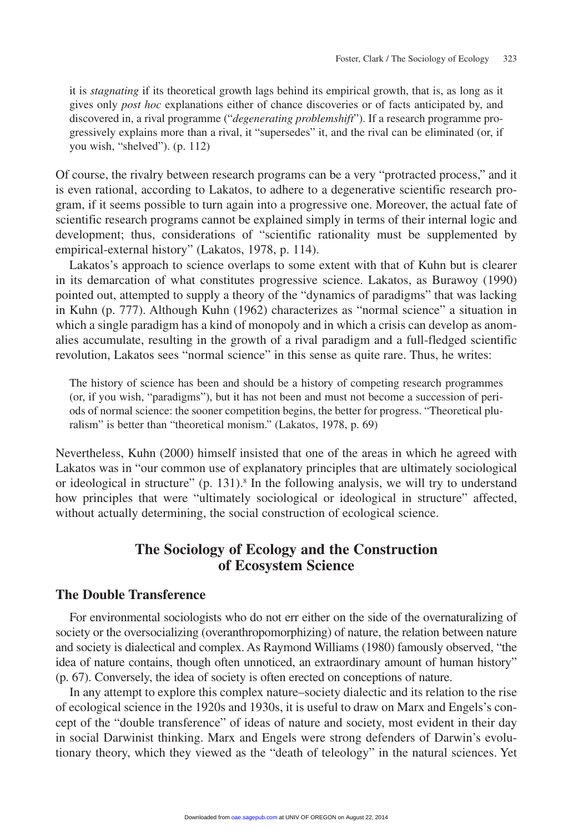it is *stagnating* if its theoretical growth lags behind its empirical growth, that is, as long as it gives only *post hoc* explanations either of chance discoveries or of facts anticipated by, and discovered in, a rival programme ("*degenerating problemshift*"). If a research programme progressively explains more than a rival, it "supersedes" it, and the rival can be eliminated (or, if you wish, "shelved"). (p. 112)

Of course, the rivalry between research programs can be a very "protracted process," and it is even rational, according to Lakatos, to adhere to a degenerative scientific research program, if it seems possible to turn again into a progressive one. Moreover, the actual fate of scientific research programs cannot be explained simply in terms of their internal logic and development; thus, considerations of "scientific rationality must be supplemented by empirical-external history" (Lakatos, 1978, p. 114).

Lakatos's approach to science overlaps to some extent with that of Kuhn but is clearer in its demarcation of what constitutes progressive science. Lakatos, as Burawoy (1990) pointed out, attempted to supply a theory of the "dynamics of paradigms" that was lacking in Kuhn (p. 777). Although Kuhn (1962) characterizes as "normal science" a situation in which a single paradigm has a kind of monopoly and in which a crisis can develop as anomalies accumulate, resulting in the growth of a rival paradigm and a full-fledged scientific revolution, Lakatos sees "normal science" in this sense as quite rare. Thus, he writes:

The history of science has been and should be a history of competing research programmes (or, if you wish, "paradigms"), but it has not been and must not become a succession of periods of normal science: the sooner competition begins, the better for progress. "Theoretical pluralism" is better than "theoretical monism." (Lakatos, 1978, p. 69)

Nevertheless, Kuhn (2000) himself insisted that one of the areas in which he agreed with Lakatos was in "our common use of explanatory principles that are ultimately sociological or ideological in structure"  $(p, 131)$ .<sup>8</sup> In the following analysis, we will try to understand how principles that were "ultimately sociological or ideological in structure" affected, without actually determining, the social construction of ecological science.

## **The Sociology of Ecology and the Construction of Ecosystem Science**

#### **The Double Transference**

For environmental sociologists who do not err either on the side of the overnaturalizing of society or the oversocializing (overanthropomorphizing) of nature, the relation between nature and society is dialectical and complex. As Raymond Williams (1980) famously observed, "the idea of nature contains, though often unnoticed, an extraordinary amount of human history" (p. 67). Conversely, the idea of society is often erected on conceptions of nature.

In any attempt to explore this complex nature–society dialectic and its relation to the rise of ecological science in the 1920s and 1930s, it is useful to draw on Marx and Engels's concept of the "double transference" of ideas of nature and society, most evident in their day in social Darwinist thinking. Marx and Engels were strong defenders of Darwin's evolutionary theory, which they viewed as the "death of teleology" in the natural sciences. Yet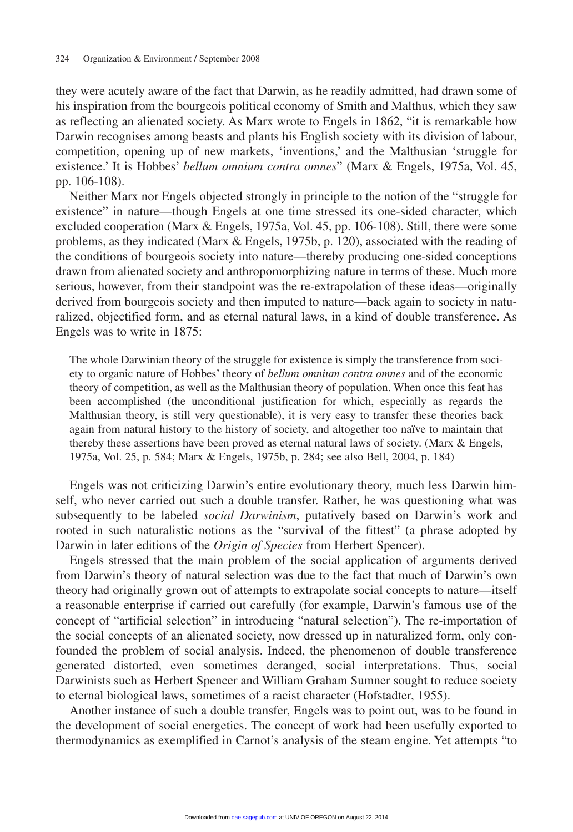they were acutely aware of the fact that Darwin, as he readily admitted, had drawn some of his inspiration from the bourgeois political economy of Smith and Malthus, which they saw as reflecting an alienated society. As Marx wrote to Engels in 1862, "it is remarkable how Darwin recognises among beasts and plants his English society with its division of labour, competition, opening up of new markets, 'inventions,' and the Malthusian 'struggle for existence.' It is Hobbes' *bellum omnium contra omnes*" (Marx & Engels, 1975a, Vol. 45, pp. 106-108).

Neither Marx nor Engels objected strongly in principle to the notion of the "struggle for existence" in nature—though Engels at one time stressed its one-sided character, which excluded cooperation (Marx & Engels, 1975a, Vol. 45, pp. 106-108). Still, there were some problems, as they indicated (Marx & Engels, 1975b, p. 120), associated with the reading of the conditions of bourgeois society into nature—thereby producing one-sided conceptions drawn from alienated society and anthropomorphizing nature in terms of these. Much more serious, however, from their standpoint was the re-extrapolation of these ideas—originally derived from bourgeois society and then imputed to nature—back again to society in naturalized, objectified form, and as eternal natural laws, in a kind of double transference. As Engels was to write in 1875:

The whole Darwinian theory of the struggle for existence is simply the transference from society to organic nature of Hobbes' theory of *bellum omnium contra omnes* and of the economic theory of competition, as well as the Malthusian theory of population. When once this feat has been accomplished (the unconditional justification for which, especially as regards the Malthusian theory, is still very questionable), it is very easy to transfer these theories back again from natural history to the history of society, and altogether too naïve to maintain that thereby these assertions have been proved as eternal natural laws of society. (Marx & Engels, 1975a, Vol. 25, p. 584; Marx & Engels, 1975b, p. 284; see also Bell, 2004, p. 184)

Engels was not criticizing Darwin's entire evolutionary theory, much less Darwin himself, who never carried out such a double transfer. Rather, he was questioning what was subsequently to be labeled *social Darwinism*, putatively based on Darwin's work and rooted in such naturalistic notions as the "survival of the fittest" (a phrase adopted by Darwin in later editions of the *Origin of Species* from Herbert Spencer).

Engels stressed that the main problem of the social application of arguments derived from Darwin's theory of natural selection was due to the fact that much of Darwin's own theory had originally grown out of attempts to extrapolate social concepts to nature—itself a reasonable enterprise if carried out carefully (for example, Darwin's famous use of the concept of "artificial selection" in introducing "natural selection"). The re-importation of the social concepts of an alienated society, now dressed up in naturalized form, only confounded the problem of social analysis. Indeed, the phenomenon of double transference generated distorted, even sometimes deranged, social interpretations. Thus, social Darwinists such as Herbert Spencer and William Graham Sumner sought to reduce society to eternal biological laws, sometimes of a racist character (Hofstadter, 1955).

Another instance of such a double transfer, Engels was to point out, was to be found in the development of social energetics. The concept of work had been usefully exported to thermodynamics as exemplified in Carnot's analysis of the steam engine. Yet attempts "to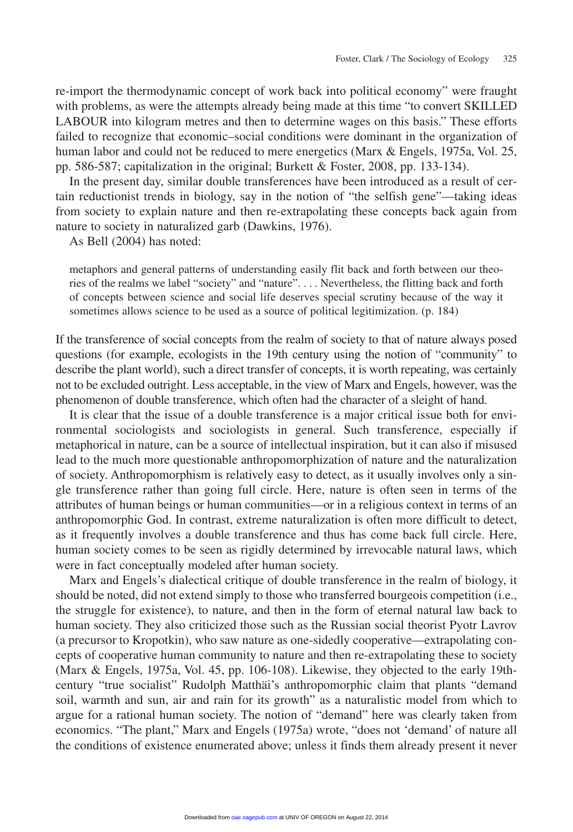re-import the thermodynamic concept of work back into political economy" were fraught with problems, as were the attempts already being made at this time "to convert SKILLED LABOUR into kilogram metres and then to determine wages on this basis." These efforts failed to recognize that economic–social conditions were dominant in the organization of human labor and could not be reduced to mere energetics (Marx & Engels, 1975a, Vol. 25, pp. 586-587; capitalization in the original; Burkett & Foster, 2008, pp. 133-134).

In the present day, similar double transferences have been introduced as a result of certain reductionist trends in biology, say in the notion of "the selfish gene"—taking ideas from society to explain nature and then re-extrapolating these concepts back again from nature to society in naturalized garb (Dawkins, 1976).

As Bell (2004) has noted:

metaphors and general patterns of understanding easily flit back and forth between our theories of the realms we label "society" and "nature". . . . Nevertheless, the flitting back and forth of concepts between science and social life deserves special scrutiny because of the way it sometimes allows science to be used as a source of political legitimization. (p. 184)

If the transference of social concepts from the realm of society to that of nature always posed questions (for example, ecologists in the 19th century using the notion of "community" to describe the plant world), such a direct transfer of concepts, it is worth repeating, was certainly not to be excluded outright. Less acceptable, in the view of Marx and Engels, however, was the phenomenon of double transference, which often had the character of a sleight of hand.

It is clear that the issue of a double transference is a major critical issue both for environmental sociologists and sociologists in general. Such transference, especially if metaphorical in nature, can be a source of intellectual inspiration, but it can also if misused lead to the much more questionable anthropomorphization of nature and the naturalization of society. Anthropomorphism is relatively easy to detect, as it usually involves only a single transference rather than going full circle. Here, nature is often seen in terms of the attributes of human beings or human communities—or in a religious context in terms of an anthropomorphic God. In contrast, extreme naturalization is often more difficult to detect, as it frequently involves a double transference and thus has come back full circle. Here, human society comes to be seen as rigidly determined by irrevocable natural laws, which were in fact conceptually modeled after human society.

Marx and Engels's dialectical critique of double transference in the realm of biology, it should be noted, did not extend simply to those who transferred bourgeois competition (i.e., the struggle for existence), to nature, and then in the form of eternal natural law back to human society. They also criticized those such as the Russian social theorist Pyotr Lavrov (a precursor to Kropotkin), who saw nature as one-sidedly cooperative—extrapolating concepts of cooperative human community to nature and then re-extrapolating these to society (Marx & Engels, 1975a, Vol. 45, pp. 106-108). Likewise, they objected to the early 19thcentury "true socialist" Rudolph Matthäi's anthropomorphic claim that plants "demand soil, warmth and sun, air and rain for its growth" as a naturalistic model from which to argue for a rational human society. The notion of "demand" here was clearly taken from economics. "The plant," Marx and Engels (1975a) wrote, "does not 'demand' of nature all the conditions of existence enumerated above; unless it finds them already present it never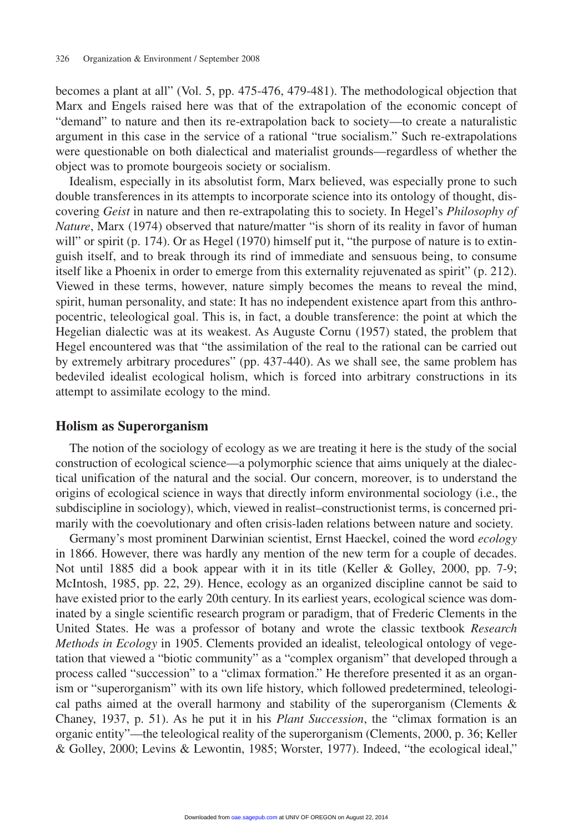becomes a plant at all" (Vol. 5, pp. 475-476, 479-481). The methodological objection that Marx and Engels raised here was that of the extrapolation of the economic concept of "demand" to nature and then its re-extrapolation back to society—to create a naturalistic argument in this case in the service of a rational "true socialism." Such re-extrapolations were questionable on both dialectical and materialist grounds—regardless of whether the object was to promote bourgeois society or socialism.

Idealism, especially in its absolutist form, Marx believed, was especially prone to such double transferences in its attempts to incorporate science into its ontology of thought, discovering *Geist* in nature and then re-extrapolating this to society. In Hegel's *Philosophy of Nature*, Marx (1974) observed that nature/matter "is shorn of its reality in favor of human will" or spirit (p. 174). Or as Hegel (1970) himself put it, "the purpose of nature is to extinguish itself, and to break through its rind of immediate and sensuous being, to consume itself like a Phoenix in order to emerge from this externality rejuvenated as spirit" (p. 212). Viewed in these terms, however, nature simply becomes the means to reveal the mind, spirit, human personality, and state: It has no independent existence apart from this anthropocentric, teleological goal. This is, in fact, a double transference: the point at which the Hegelian dialectic was at its weakest. As Auguste Cornu (1957) stated, the problem that Hegel encountered was that "the assimilation of the real to the rational can be carried out by extremely arbitrary procedures" (pp. 437-440). As we shall see, the same problem has bedeviled idealist ecological holism, which is forced into arbitrary constructions in its attempt to assimilate ecology to the mind.

#### **Holism as Superorganism**

The notion of the sociology of ecology as we are treating it here is the study of the social construction of ecological science—a polymorphic science that aims uniquely at the dialectical unification of the natural and the social. Our concern, moreover, is to understand the origins of ecological science in ways that directly inform environmental sociology (i.e., the subdiscipline in sociology), which, viewed in realist–constructionist terms, is concerned primarily with the coevolutionary and often crisis-laden relations between nature and society.

Germany's most prominent Darwinian scientist, Ernst Haeckel, coined the word *ecology* in 1866. However, there was hardly any mention of the new term for a couple of decades. Not until 1885 did a book appear with it in its title (Keller & Golley, 2000, pp. 7-9; McIntosh, 1985, pp. 22, 29). Hence, ecology as an organized discipline cannot be said to have existed prior to the early 20th century. In its earliest years, ecological science was dominated by a single scientific research program or paradigm, that of Frederic Clements in the United States. He was a professor of botany and wrote the classic textbook *Research Methods in Ecology* in 1905. Clements provided an idealist, teleological ontology of vegetation that viewed a "biotic community" as a "complex organism" that developed through a process called "succession" to a "climax formation." He therefore presented it as an organism or "superorganism" with its own life history, which followed predetermined, teleological paths aimed at the overall harmony and stability of the superorganism (Clements  $\&$ Chaney, 1937, p. 51). As he put it in his *Plant Succession*, the "climax formation is an organic entity"—the teleological reality of the superorganism (Clements, 2000, p. 36; Keller & Golley, 2000; Levins & Lewontin, 1985; Worster, 1977). Indeed, "the ecological ideal,"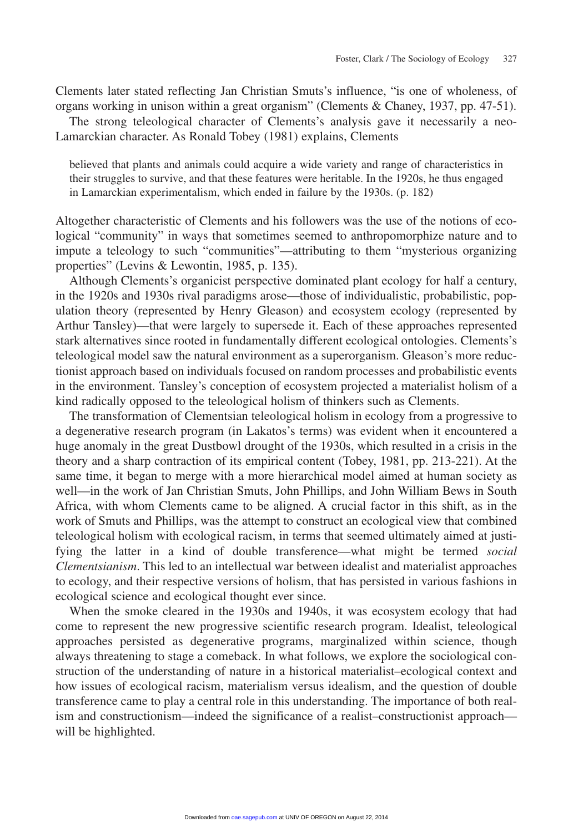Clements later stated reflecting Jan Christian Smuts's influence, "is one of wholeness, of organs working in unison within a great organism" (Clements & Chaney, 1937, pp. 47-51).

The strong teleological character of Clements's analysis gave it necessarily a neo-Lamarckian character. As Ronald Tobey (1981) explains, Clements

believed that plants and animals could acquire a wide variety and range of characteristics in their struggles to survive, and that these features were heritable. In the 1920s, he thus engaged in Lamarckian experimentalism, which ended in failure by the 1930s. (p. 182)

Altogether characteristic of Clements and his followers was the use of the notions of ecological "community" in ways that sometimes seemed to anthropomorphize nature and to impute a teleology to such "communities"—attributing to them "mysterious organizing properties" (Levins & Lewontin, 1985, p. 135).

Although Clements's organicist perspective dominated plant ecology for half a century, in the 1920s and 1930s rival paradigms arose—those of individualistic, probabilistic, population theory (represented by Henry Gleason) and ecosystem ecology (represented by Arthur Tansley)—that were largely to supersede it. Each of these approaches represented stark alternatives since rooted in fundamentally different ecological ontologies. Clements's teleological model saw the natural environment as a superorganism. Gleason's more reductionist approach based on individuals focused on random processes and probabilistic events in the environment. Tansley's conception of ecosystem projected a materialist holism of a kind radically opposed to the teleological holism of thinkers such as Clements.

The transformation of Clementsian teleological holism in ecology from a progressive to a degenerative research program (in Lakatos's terms) was evident when it encountered a huge anomaly in the great Dustbowl drought of the 1930s, which resulted in a crisis in the theory and a sharp contraction of its empirical content (Tobey, 1981, pp. 213-221). At the same time, it began to merge with a more hierarchical model aimed at human society as well—in the work of Jan Christian Smuts, John Phillips, and John William Bews in South Africa, with whom Clements came to be aligned. A crucial factor in this shift, as in the work of Smuts and Phillips, was the attempt to construct an ecological view that combined teleological holism with ecological racism, in terms that seemed ultimately aimed at justifying the latter in a kind of double transference—what might be termed *social Clementsianism*. This led to an intellectual war between idealist and materialist approaches to ecology, and their respective versions of holism, that has persisted in various fashions in ecological science and ecological thought ever since.

When the smoke cleared in the 1930s and 1940s, it was ecosystem ecology that had come to represent the new progressive scientific research program. Idealist, teleological approaches persisted as degenerative programs, marginalized within science, though always threatening to stage a comeback. In what follows, we explore the sociological construction of the understanding of nature in a historical materialist–ecological context and how issues of ecological racism, materialism versus idealism, and the question of double transference came to play a central role in this understanding. The importance of both realism and constructionism—indeed the significance of a realist–constructionist approach will be highlighted.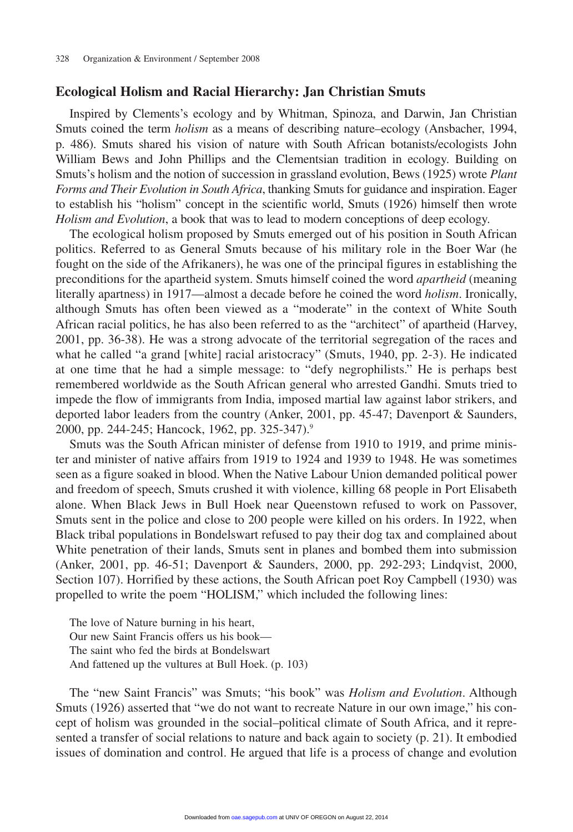#### **Ecological Holism and Racial Hierarchy: Jan Christian Smuts**

Inspired by Clements's ecology and by Whitman, Spinoza, and Darwin, Jan Christian Smuts coined the term *holism* as a means of describing nature–ecology (Ansbacher, 1994, p. 486). Smuts shared his vision of nature with South African botanists/ecologists John William Bews and John Phillips and the Clementsian tradition in ecology. Building on Smuts's holism and the notion of succession in grassland evolution, Bews (1925) wrote *Plant Forms and Their Evolution in South Africa*, thanking Smuts for guidance and inspiration. Eager to establish his "holism" concept in the scientific world, Smuts (1926) himself then wrote *Holism and Evolution*, a book that was to lead to modern conceptions of deep ecology.

The ecological holism proposed by Smuts emerged out of his position in South African politics. Referred to as General Smuts because of his military role in the Boer War (he fought on the side of the Afrikaners), he was one of the principal figures in establishing the preconditions for the apartheid system. Smuts himself coined the word *apartheid* (meaning literally apartness) in 1917—almost a decade before he coined the word *holism*. Ironically, although Smuts has often been viewed as a "moderate" in the context of White South African racial politics, he has also been referred to as the "architect" of apartheid (Harvey, 2001, pp. 36-38). He was a strong advocate of the territorial segregation of the races and what he called "a grand [white] racial aristocracy" (Smuts, 1940, pp. 2-3). He indicated at one time that he had a simple message: to "defy negrophilists." He is perhaps best remembered worldwide as the South African general who arrested Gandhi. Smuts tried to impede the flow of immigrants from India, imposed martial law against labor strikers, and deported labor leaders from the country (Anker, 2001, pp. 45-47; Davenport & Saunders, 2000, pp. 244-245; Hancock, 1962, pp. 325-347).9

Smuts was the South African minister of defense from 1910 to 1919, and prime minister and minister of native affairs from 1919 to 1924 and 1939 to 1948. He was sometimes seen as a figure soaked in blood. When the Native Labour Union demanded political power and freedom of speech, Smuts crushed it with violence, killing 68 people in Port Elisabeth alone. When Black Jews in Bull Hoek near Queenstown refused to work on Passover, Smuts sent in the police and close to 200 people were killed on his orders. In 1922, when Black tribal populations in Bondelswart refused to pay their dog tax and complained about White penetration of their lands, Smuts sent in planes and bombed them into submission (Anker, 2001, pp. 46-51; Davenport & Saunders, 2000, pp. 292-293; Lindqvist, 2000, Section 107). Horrified by these actions, the South African poet Roy Campbell (1930) was propelled to write the poem "HOLISM," which included the following lines:

The love of Nature burning in his heart, Our new Saint Francis offers us his book— The saint who fed the birds at Bondelswart And fattened up the vultures at Bull Hoek. (p. 103)

The "new Saint Francis" was Smuts; "his book" was *Holism and Evolution*. Although Smuts (1926) asserted that "we do not want to recreate Nature in our own image," his concept of holism was grounded in the social–political climate of South Africa, and it represented a transfer of social relations to nature and back again to society (p. 21). It embodied issues of domination and control. He argued that life is a process of change and evolution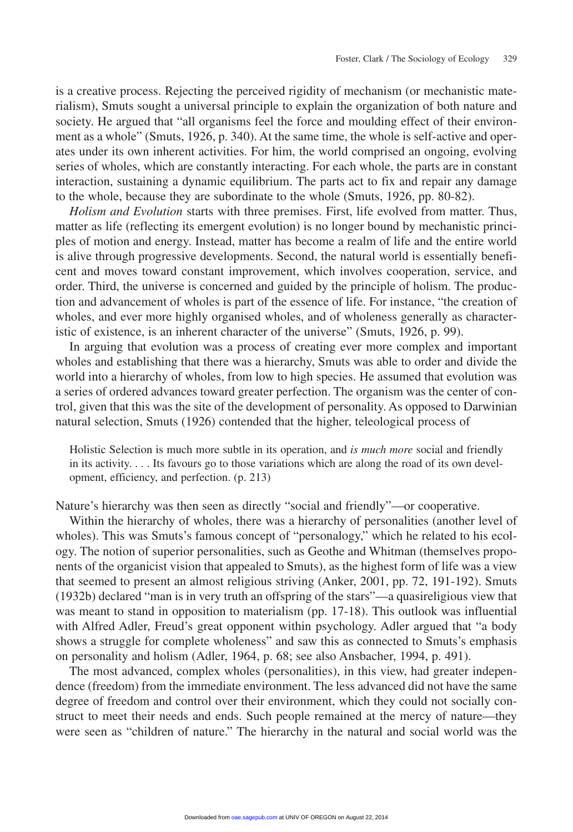is a creative process. Rejecting the perceived rigidity of mechanism (or mechanistic materialism), Smuts sought a universal principle to explain the organization of both nature and society. He argued that "all organisms feel the force and moulding effect of their environment as a whole" (Smuts, 1926, p. 340). At the same time, the whole is self-active and operates under its own inherent activities. For him, the world comprised an ongoing, evolving series of wholes, which are constantly interacting. For each whole, the parts are in constant interaction, sustaining a dynamic equilibrium. The parts act to fix and repair any damage to the whole, because they are subordinate to the whole (Smuts, 1926, pp. 80-82).

*Holism and Evolution* starts with three premises. First, life evolved from matter. Thus, matter as life (reflecting its emergent evolution) is no longer bound by mechanistic principles of motion and energy. Instead, matter has become a realm of life and the entire world is alive through progressive developments. Second, the natural world is essentially beneficent and moves toward constant improvement, which involves cooperation, service, and order. Third, the universe is concerned and guided by the principle of holism. The production and advancement of wholes is part of the essence of life. For instance, "the creation of wholes, and ever more highly organised wholes, and of wholeness generally as characteristic of existence, is an inherent character of the universe" (Smuts, 1926, p. 99).

In arguing that evolution was a process of creating ever more complex and important wholes and establishing that there was a hierarchy, Smuts was able to order and divide the world into a hierarchy of wholes, from low to high species. He assumed that evolution was a series of ordered advances toward greater perfection. The organism was the center of control, given that this was the site of the development of personality. As opposed to Darwinian natural selection, Smuts (1926) contended that the higher, teleological process of

Holistic Selection is much more subtle in its operation, and *is much more* social and friendly in its activity. . . . Its favours go to those variations which are along the road of its own development, efficiency, and perfection. (p. 213)

Nature's hierarchy was then seen as directly "social and friendly"—or cooperative.

Within the hierarchy of wholes, there was a hierarchy of personalities (another level of wholes). This was Smuts's famous concept of "personalogy," which he related to his ecology. The notion of superior personalities, such as Geothe and Whitman (themselves proponents of the organicist vision that appealed to Smuts), as the highest form of life was a view that seemed to present an almost religious striving (Anker, 2001, pp. 72, 191-192). Smuts (1932b) declared "man is in very truth an offspring of the stars"—a quasireligious view that was meant to stand in opposition to materialism (pp. 17-18). This outlook was influential with Alfred Adler, Freud's great opponent within psychology. Adler argued that "a body shows a struggle for complete wholeness" and saw this as connected to Smuts's emphasis on personality and holism (Adler, 1964, p. 68; see also Ansbacher, 1994, p. 491).

The most advanced, complex wholes (personalities), in this view, had greater independence (freedom) from the immediate environment. The less advanced did not have the same degree of freedom and control over their environment, which they could not socially construct to meet their needs and ends. Such people remained at the mercy of nature—they were seen as "children of nature." The hierarchy in the natural and social world was the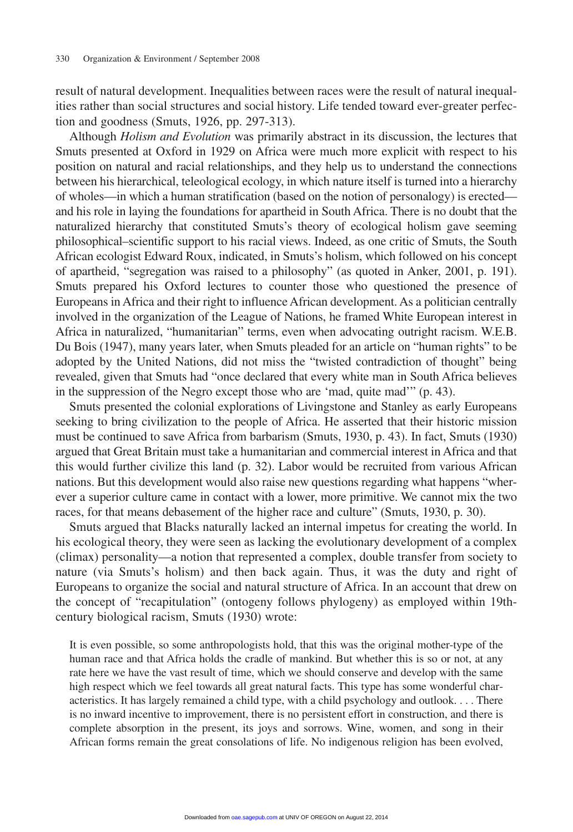result of natural development. Inequalities between races were the result of natural inequalities rather than social structures and social history. Life tended toward ever-greater perfection and goodness (Smuts, 1926, pp. 297-313).

Although *Holism and Evolution* was primarily abstract in its discussion, the lectures that Smuts presented at Oxford in 1929 on Africa were much more explicit with respect to his position on natural and racial relationships, and they help us to understand the connections between his hierarchical, teleological ecology, in which nature itself is turned into a hierarchy of wholes—in which a human stratification (based on the notion of personalogy) is erected and his role in laying the foundations for apartheid in South Africa. There is no doubt that the naturalized hierarchy that constituted Smuts's theory of ecological holism gave seeming philosophical–scientific support to his racial views. Indeed, as one critic of Smuts, the South African ecologist Edward Roux, indicated, in Smuts's holism, which followed on his concept of apartheid, "segregation was raised to a philosophy" (as quoted in Anker, 2001, p. 191). Smuts prepared his Oxford lectures to counter those who questioned the presence of Europeans in Africa and their right to influence African development. As a politician centrally involved in the organization of the League of Nations, he framed White European interest in Africa in naturalized, "humanitarian" terms, even when advocating outright racism. W.E.B. Du Bois (1947), many years later, when Smuts pleaded for an article on "human rights" to be adopted by the United Nations, did not miss the "twisted contradiction of thought" being revealed, given that Smuts had "once declared that every white man in South Africa believes in the suppression of the Negro except those who are 'mad, quite mad'" (p. 43).

Smuts presented the colonial explorations of Livingstone and Stanley as early Europeans seeking to bring civilization to the people of Africa. He asserted that their historic mission must be continued to save Africa from barbarism (Smuts, 1930, p. 43). In fact, Smuts (1930) argued that Great Britain must take a humanitarian and commercial interest in Africa and that this would further civilize this land (p. 32). Labor would be recruited from various African nations. But this development would also raise new questions regarding what happens "wherever a superior culture came in contact with a lower, more primitive. We cannot mix the two races, for that means debasement of the higher race and culture" (Smuts, 1930, p. 30).

Smuts argued that Blacks naturally lacked an internal impetus for creating the world. In his ecological theory, they were seen as lacking the evolutionary development of a complex (climax) personality—a notion that represented a complex, double transfer from society to nature (via Smuts's holism) and then back again. Thus, it was the duty and right of Europeans to organize the social and natural structure of Africa. In an account that drew on the concept of "recapitulation" (ontogeny follows phylogeny) as employed within 19thcentury biological racism, Smuts (1930) wrote:

It is even possible, so some anthropologists hold, that this was the original mother-type of the human race and that Africa holds the cradle of mankind. But whether this is so or not, at any rate here we have the vast result of time, which we should conserve and develop with the same high respect which we feel towards all great natural facts. This type has some wonderful characteristics. It has largely remained a child type, with a child psychology and outlook. . . . There is no inward incentive to improvement, there is no persistent effort in construction, and there is complete absorption in the present, its joys and sorrows. Wine, women, and song in their African forms remain the great consolations of life. No indigenous religion has been evolved,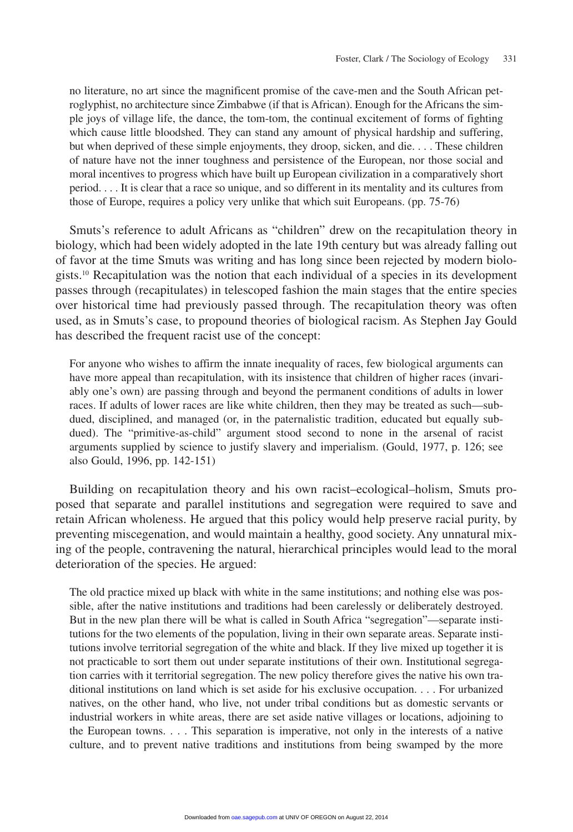no literature, no art since the magnificent promise of the cave-men and the South African petroglyphist, no architecture since Zimbabwe (if that is African). Enough for the Africans the simple joys of village life, the dance, the tom-tom, the continual excitement of forms of fighting which cause little bloodshed. They can stand any amount of physical hardship and suffering, but when deprived of these simple enjoyments, they droop, sicken, and die. . . . These children of nature have not the inner toughness and persistence of the European, nor those social and moral incentives to progress which have built up European civilization in a comparatively short period. . . . It is clear that a race so unique, and so different in its mentality and its cultures from those of Europe, requires a policy very unlike that which suit Europeans. (pp. 75-76)

Smuts's reference to adult Africans as "children" drew on the recapitulation theory in biology, which had been widely adopted in the late 19th century but was already falling out of favor at the time Smuts was writing and has long since been rejected by modern biologists.10 Recapitulation was the notion that each individual of a species in its development passes through (recapitulates) in telescoped fashion the main stages that the entire species over historical time had previously passed through. The recapitulation theory was often used, as in Smuts's case, to propound theories of biological racism. As Stephen Jay Gould has described the frequent racist use of the concept:

For anyone who wishes to affirm the innate inequality of races, few biological arguments can have more appeal than recapitulation, with its insistence that children of higher races (invariably one's own) are passing through and beyond the permanent conditions of adults in lower races. If adults of lower races are like white children, then they may be treated as such—subdued, disciplined, and managed (or, in the paternalistic tradition, educated but equally subdued). The "primitive-as-child" argument stood second to none in the arsenal of racist arguments supplied by science to justify slavery and imperialism. (Gould, 1977, p. 126; see also Gould, 1996, pp. 142-151)

Building on recapitulation theory and his own racist–ecological–holism, Smuts proposed that separate and parallel institutions and segregation were required to save and retain African wholeness. He argued that this policy would help preserve racial purity, by preventing miscegenation, and would maintain a healthy, good society. Any unnatural mixing of the people, contravening the natural, hierarchical principles would lead to the moral deterioration of the species. He argued:

The old practice mixed up black with white in the same institutions; and nothing else was possible, after the native institutions and traditions had been carelessly or deliberately destroyed. But in the new plan there will be what is called in South Africa "segregation"—separate institutions for the two elements of the population, living in their own separate areas. Separate institutions involve territorial segregation of the white and black. If they live mixed up together it is not practicable to sort them out under separate institutions of their own. Institutional segregation carries with it territorial segregation. The new policy therefore gives the native his own traditional institutions on land which is set aside for his exclusive occupation. . . . For urbanized natives, on the other hand, who live, not under tribal conditions but as domestic servants or industrial workers in white areas, there are set aside native villages or locations, adjoining to the European towns. . . . This separation is imperative, not only in the interests of a native culture, and to prevent native traditions and institutions from being swamped by the more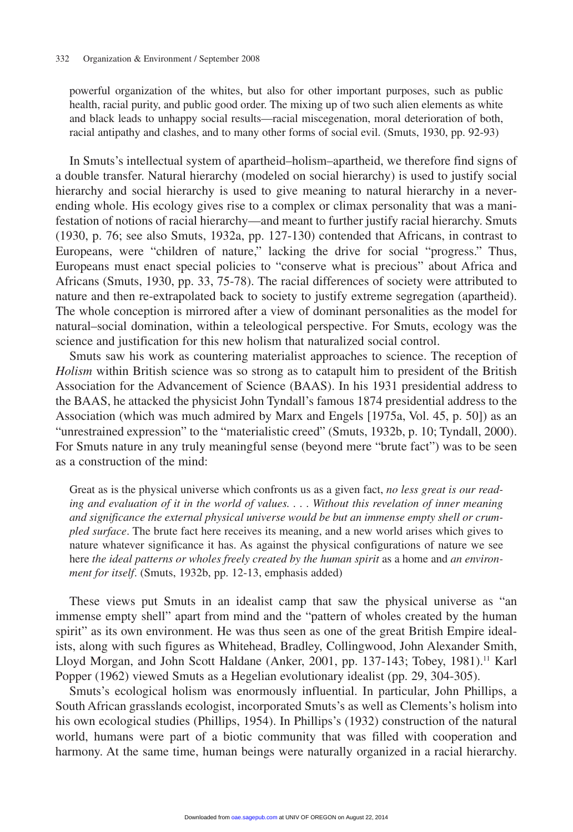powerful organization of the whites, but also for other important purposes, such as public health, racial purity, and public good order. The mixing up of two such alien elements as white and black leads to unhappy social results—racial miscegenation, moral deterioration of both, racial antipathy and clashes, and to many other forms of social evil. (Smuts, 1930, pp. 92-93)

In Smuts's intellectual system of apartheid–holism–apartheid, we therefore find signs of a double transfer. Natural hierarchy (modeled on social hierarchy) is used to justify social hierarchy and social hierarchy is used to give meaning to natural hierarchy in a neverending whole. His ecology gives rise to a complex or climax personality that was a manifestation of notions of racial hierarchy—and meant to further justify racial hierarchy. Smuts (1930, p. 76; see also Smuts, 1932a, pp. 127-130) contended that Africans, in contrast to Europeans, were "children of nature," lacking the drive for social "progress." Thus, Europeans must enact special policies to "conserve what is precious" about Africa and Africans (Smuts, 1930, pp. 33, 75-78). The racial differences of society were attributed to nature and then re-extrapolated back to society to justify extreme segregation (apartheid). The whole conception is mirrored after a view of dominant personalities as the model for natural–social domination, within a teleological perspective. For Smuts, ecology was the science and justification for this new holism that naturalized social control.

Smuts saw his work as countering materialist approaches to science. The reception of *Holism* within British science was so strong as to catapult him to president of the British Association for the Advancement of Science (BAAS). In his 1931 presidential address to the BAAS, he attacked the physicist John Tyndall's famous 1874 presidential address to the Association (which was much admired by Marx and Engels [1975a, Vol. 45, p. 50]) as an "unrestrained expression" to the "materialistic creed" (Smuts, 1932b, p. 10; Tyndall, 2000). For Smuts nature in any truly meaningful sense (beyond mere "brute fact") was to be seen as a construction of the mind:

Great as is the physical universe which confronts us as a given fact, *no less great is our reading and evaluation of it in the world of values. . . . Without this revelation of inner meaning and significance the external physical universe would be but an immense empty shell or crumpled surface*. The brute fact here receives its meaning, and a new world arises which gives to nature whatever significance it has. As against the physical configurations of nature we see here *the ideal patterns or wholes freely created by the human spirit* as a home and *an environment for itself*. (Smuts, 1932b, pp. 12-13, emphasis added)

These views put Smuts in an idealist camp that saw the physical universe as "an immense empty shell" apart from mind and the "pattern of wholes created by the human spirit" as its own environment. He was thus seen as one of the great British Empire idealists, along with such figures as Whitehead, Bradley, Collingwood, John Alexander Smith, Lloyd Morgan, and John Scott Haldane (Anker, 2001, pp. 137-143; Tobey, 1981).<sup>11</sup> Karl Popper (1962) viewed Smuts as a Hegelian evolutionary idealist (pp. 29, 304-305).

Smuts's ecological holism was enormously influential. In particular, John Phillips, a South African grasslands ecologist, incorporated Smuts's as well as Clements's holism into his own ecological studies (Phillips, 1954). In Phillips's (1932) construction of the natural world, humans were part of a biotic community that was filled with cooperation and harmony. At the same time, human beings were naturally organized in a racial hierarchy.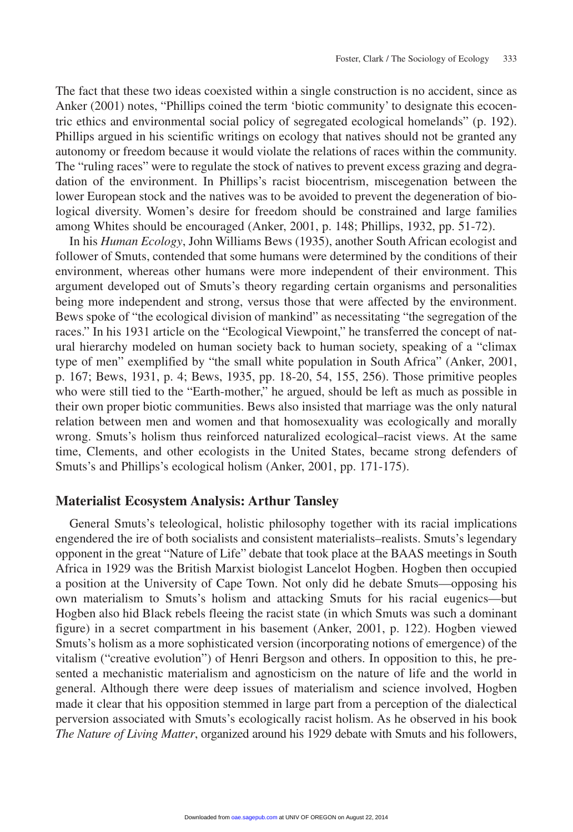The fact that these two ideas coexisted within a single construction is no accident, since as Anker (2001) notes, "Phillips coined the term 'biotic community' to designate this ecocentric ethics and environmental social policy of segregated ecological homelands" (p. 192). Phillips argued in his scientific writings on ecology that natives should not be granted any autonomy or freedom because it would violate the relations of races within the community. The "ruling races" were to regulate the stock of natives to prevent excess grazing and degradation of the environment. In Phillips's racist biocentrism, miscegenation between the lower European stock and the natives was to be avoided to prevent the degeneration of biological diversity. Women's desire for freedom should be constrained and large families among Whites should be encouraged (Anker, 2001, p. 148; Phillips, 1932, pp. 51-72).

In his *Human Ecology*, John Williams Bews (1935), another South African ecologist and follower of Smuts, contended that some humans were determined by the conditions of their environment, whereas other humans were more independent of their environment. This argument developed out of Smuts's theory regarding certain organisms and personalities being more independent and strong, versus those that were affected by the environment. Bews spoke of "the ecological division of mankind" as necessitating "the segregation of the races." In his 1931 article on the "Ecological Viewpoint," he transferred the concept of natural hierarchy modeled on human society back to human society, speaking of a "climax type of men" exemplified by "the small white population in South Africa" (Anker, 2001, p. 167; Bews, 1931, p. 4; Bews, 1935, pp. 18-20, 54, 155, 256). Those primitive peoples who were still tied to the "Earth-mother," he argued, should be left as much as possible in their own proper biotic communities. Bews also insisted that marriage was the only natural relation between men and women and that homosexuality was ecologically and morally wrong. Smuts's holism thus reinforced naturalized ecological–racist views. At the same time, Clements, and other ecologists in the United States, became strong defenders of Smuts's and Phillips's ecological holism (Anker, 2001, pp. 171-175).

#### **Materialist Ecosystem Analysis: Arthur Tansley**

General Smuts's teleological, holistic philosophy together with its racial implications engendered the ire of both socialists and consistent materialists–realists. Smuts's legendary opponent in the great "Nature of Life" debate that took place at the BAAS meetings in South Africa in 1929 was the British Marxist biologist Lancelot Hogben. Hogben then occupied a position at the University of Cape Town. Not only did he debate Smuts—opposing his own materialism to Smuts's holism and attacking Smuts for his racial eugenics—but Hogben also hid Black rebels fleeing the racist state (in which Smuts was such a dominant figure) in a secret compartment in his basement (Anker, 2001, p. 122). Hogben viewed Smuts's holism as a more sophisticated version (incorporating notions of emergence) of the vitalism ("creative evolution") of Henri Bergson and others. In opposition to this, he presented a mechanistic materialism and agnosticism on the nature of life and the world in general. Although there were deep issues of materialism and science involved, Hogben made it clear that his opposition stemmed in large part from a perception of the dialectical perversion associated with Smuts's ecologically racist holism. As he observed in his book *The Nature of Living Matter*, organized around his 1929 debate with Smuts and his followers,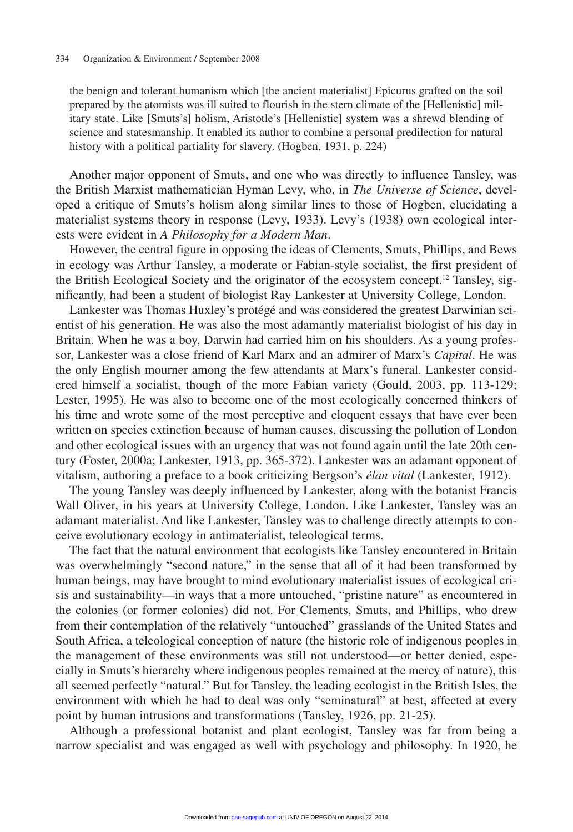the benign and tolerant humanism which [the ancient materialist] Epicurus grafted on the soil prepared by the atomists was ill suited to flourish in the stern climate of the [Hellenistic] military state. Like [Smuts's] holism, Aristotle's [Hellenistic] system was a shrewd blending of science and statesmanship. It enabled its author to combine a personal predilection for natural history with a political partiality for slavery. (Hogben, 1931, p. 224)

Another major opponent of Smuts, and one who was directly to influence Tansley, was the British Marxist mathematician Hyman Levy, who, in *The Universe of Science*, developed a critique of Smuts's holism along similar lines to those of Hogben, elucidating a materialist systems theory in response (Levy, 1933). Levy's (1938) own ecological interests were evident in *A Philosophy for a Modern Man*.

However, the central figure in opposing the ideas of Clements, Smuts, Phillips, and Bews in ecology was Arthur Tansley, a moderate or Fabian-style socialist, the first president of the British Ecological Society and the originator of the ecosystem concept.12 Tansley, significantly, had been a student of biologist Ray Lankester at University College, London.

Lankester was Thomas Huxley's protégé and was considered the greatest Darwinian scientist of his generation. He was also the most adamantly materialist biologist of his day in Britain. When he was a boy, Darwin had carried him on his shoulders. As a young professor, Lankester was a close friend of Karl Marx and an admirer of Marx's *Capital*. He was the only English mourner among the few attendants at Marx's funeral. Lankester considered himself a socialist, though of the more Fabian variety (Gould, 2003, pp. 113-129; Lester, 1995). He was also to become one of the most ecologically concerned thinkers of his time and wrote some of the most perceptive and eloquent essays that have ever been written on species extinction because of human causes, discussing the pollution of London and other ecological issues with an urgency that was not found again until the late 20th century (Foster, 2000a; Lankester, 1913, pp. 365-372). Lankester was an adamant opponent of vitalism, authoring a preface to a book criticizing Bergson's *élan vital* (Lankester, 1912).

The young Tansley was deeply influenced by Lankester, along with the botanist Francis Wall Oliver, in his years at University College, London. Like Lankester, Tansley was an adamant materialist. And like Lankester, Tansley was to challenge directly attempts to conceive evolutionary ecology in antimaterialist, teleological terms.

The fact that the natural environment that ecologists like Tansley encountered in Britain was overwhelmingly "second nature," in the sense that all of it had been transformed by human beings, may have brought to mind evolutionary materialist issues of ecological crisis and sustainability—in ways that a more untouched, "pristine nature" as encountered in the colonies (or former colonies) did not. For Clements, Smuts, and Phillips, who drew from their contemplation of the relatively "untouched" grasslands of the United States and South Africa, a teleological conception of nature (the historic role of indigenous peoples in the management of these environments was still not understood—or better denied, especially in Smuts's hierarchy where indigenous peoples remained at the mercy of nature), this all seemed perfectly "natural." But for Tansley, the leading ecologist in the British Isles, the environment with which he had to deal was only "seminatural" at best, affected at every point by human intrusions and transformations (Tansley, 1926, pp. 21-25).

Although a professional botanist and plant ecologist, Tansley was far from being a narrow specialist and was engaged as well with psychology and philosophy. In 1920, he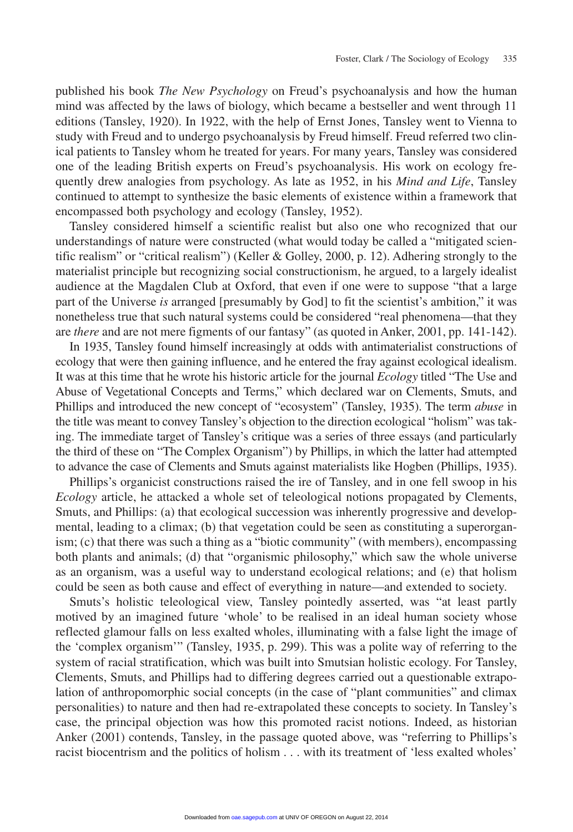published his book *The New Psychology* on Freud's psychoanalysis and how the human mind was affected by the laws of biology, which became a bestseller and went through 11 editions (Tansley, 1920). In 1922, with the help of Ernst Jones, Tansley went to Vienna to study with Freud and to undergo psychoanalysis by Freud himself. Freud referred two clinical patients to Tansley whom he treated for years. For many years, Tansley was considered one of the leading British experts on Freud's psychoanalysis. His work on ecology frequently drew analogies from psychology. As late as 1952, in his *Mind and Life*, Tansley continued to attempt to synthesize the basic elements of existence within a framework that encompassed both psychology and ecology (Tansley, 1952).

Tansley considered himself a scientific realist but also one who recognized that our understandings of nature were constructed (what would today be called a "mitigated scientific realism" or "critical realism") (Keller & Golley, 2000, p. 12). Adhering strongly to the materialist principle but recognizing social constructionism, he argued, to a largely idealist audience at the Magdalen Club at Oxford, that even if one were to suppose "that a large part of the Universe *is* arranged [presumably by God] to fit the scientist's ambition," it was nonetheless true that such natural systems could be considered "real phenomena—that they are *there* and are not mere figments of our fantasy" (as quoted in Anker, 2001, pp. 141-142).

In 1935, Tansley found himself increasingly at odds with antimaterialist constructions of ecology that were then gaining influence, and he entered the fray against ecological idealism. It was at this time that he wrote his historic article for the journal *Ecology* titled "The Use and Abuse of Vegetational Concepts and Terms," which declared war on Clements, Smuts, and Phillips and introduced the new concept of "ecosystem" (Tansley, 1935). The term *abuse* in the title was meant to convey Tansley's objection to the direction ecological "holism" was taking. The immediate target of Tansley's critique was a series of three essays (and particularly the third of these on "The Complex Organism") by Phillips, in which the latter had attempted to advance the case of Clements and Smuts against materialists like Hogben (Phillips, 1935).

Phillips's organicist constructions raised the ire of Tansley, and in one fell swoop in his *Ecology* article, he attacked a whole set of teleological notions propagated by Clements, Smuts, and Phillips: (a) that ecological succession was inherently progressive and developmental, leading to a climax; (b) that vegetation could be seen as constituting a superorganism; (c) that there was such a thing as a "biotic community" (with members), encompassing both plants and animals; (d) that "organismic philosophy," which saw the whole universe as an organism, was a useful way to understand ecological relations; and (e) that holism could be seen as both cause and effect of everything in nature—and extended to society.

Smuts's holistic teleological view, Tansley pointedly asserted, was "at least partly motived by an imagined future 'whole' to be realised in an ideal human society whose reflected glamour falls on less exalted wholes, illuminating with a false light the image of the 'complex organism'" (Tansley, 1935, p. 299). This was a polite way of referring to the system of racial stratification, which was built into Smutsian holistic ecology. For Tansley, Clements, Smuts, and Phillips had to differing degrees carried out a questionable extrapolation of anthropomorphic social concepts (in the case of "plant communities" and climax personalities) to nature and then had re-extrapolated these concepts to society. In Tansley's case, the principal objection was how this promoted racist notions. Indeed, as historian Anker (2001) contends, Tansley, in the passage quoted above, was "referring to Phillips's racist biocentrism and the politics of holism . . . with its treatment of 'less exalted wholes'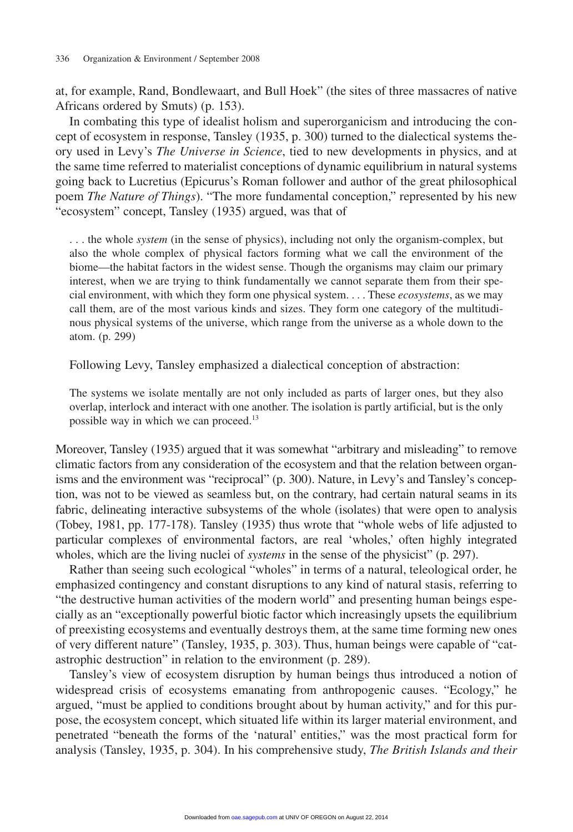at, for example, Rand, Bondlewaart, and Bull Hoek" (the sites of three massacres of native Africans ordered by Smuts) (p. 153).

In combating this type of idealist holism and superorganicism and introducing the concept of ecosystem in response, Tansley (1935, p. 300) turned to the dialectical systems theory used in Levy's *The Universe in Science*, tied to new developments in physics, and at the same time referred to materialist conceptions of dynamic equilibrium in natural systems going back to Lucretius (Epicurus's Roman follower and author of the great philosophical poem *The Nature of Things*). "The more fundamental conception," represented by his new "ecosystem" concept, Tansley (1935) argued, was that of

. . . the whole *system* (in the sense of physics), including not only the organism-complex, but also the whole complex of physical factors forming what we call the environment of the biome—the habitat factors in the widest sense. Though the organisms may claim our primary interest, when we are trying to think fundamentally we cannot separate them from their special environment, with which they form one physical system. . . . These *ecosystems*, as we may call them, are of the most various kinds and sizes. They form one category of the multitudinous physical systems of the universe, which range from the universe as a whole down to the atom. (p. 299)

Following Levy, Tansley emphasized a dialectical conception of abstraction:

The systems we isolate mentally are not only included as parts of larger ones, but they also overlap, interlock and interact with one another. The isolation is partly artificial, but is the only possible way in which we can proceed.13

Moreover, Tansley (1935) argued that it was somewhat "arbitrary and misleading" to remove climatic factors from any consideration of the ecosystem and that the relation between organisms and the environment was "reciprocal" (p. 300). Nature, in Levy's and Tansley's conception, was not to be viewed as seamless but, on the contrary, had certain natural seams in its fabric, delineating interactive subsystems of the whole (isolates) that were open to analysis (Tobey, 1981, pp. 177-178). Tansley (1935) thus wrote that "whole webs of life adjusted to particular complexes of environmental factors, are real 'wholes,' often highly integrated wholes, which are the living nuclei of *systems* in the sense of the physicist" (p. 297).

Rather than seeing such ecological "wholes" in terms of a natural, teleological order, he emphasized contingency and constant disruptions to any kind of natural stasis, referring to "the destructive human activities of the modern world" and presenting human beings especially as an "exceptionally powerful biotic factor which increasingly upsets the equilibrium of preexisting ecosystems and eventually destroys them, at the same time forming new ones of very different nature" (Tansley, 1935, p. 303). Thus, human beings were capable of "catastrophic destruction" in relation to the environment (p. 289).

Tansley's view of ecosystem disruption by human beings thus introduced a notion of widespread crisis of ecosystems emanating from anthropogenic causes. "Ecology," he argued, "must be applied to conditions brought about by human activity," and for this purpose, the ecosystem concept, which situated life within its larger material environment, and penetrated "beneath the forms of the 'natural' entities," was the most practical form for analysis (Tansley, 1935, p. 304). In his comprehensive study, *The British Islands and their*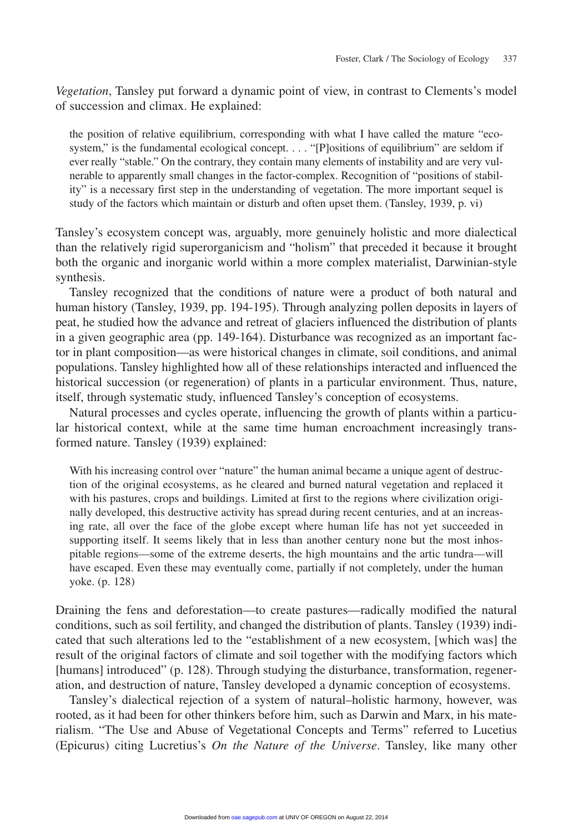*Vegetation*, Tansley put forward a dynamic point of view, in contrast to Clements's model of succession and climax. He explained:

the position of relative equilibrium, corresponding with what I have called the mature "ecosystem," is the fundamental ecological concept. . . . "[P]ositions of equilibrium" are seldom if ever really "stable." On the contrary, they contain many elements of instability and are very vulnerable to apparently small changes in the factor-complex. Recognition of "positions of stability" is a necessary first step in the understanding of vegetation. The more important sequel is study of the factors which maintain or disturb and often upset them. (Tansley, 1939, p. vi)

Tansley's ecosystem concept was, arguably, more genuinely holistic and more dialectical than the relatively rigid superorganicism and "holism" that preceded it because it brought both the organic and inorganic world within a more complex materialist, Darwinian-style synthesis.

Tansley recognized that the conditions of nature were a product of both natural and human history (Tansley, 1939, pp. 194-195). Through analyzing pollen deposits in layers of peat, he studied how the advance and retreat of glaciers influenced the distribution of plants in a given geographic area (pp. 149-164). Disturbance was recognized as an important factor in plant composition—as were historical changes in climate, soil conditions, and animal populations. Tansley highlighted how all of these relationships interacted and influenced the historical succession (or regeneration) of plants in a particular environment. Thus, nature, itself, through systematic study, influenced Tansley's conception of ecosystems.

Natural processes and cycles operate, influencing the growth of plants within a particular historical context, while at the same time human encroachment increasingly transformed nature. Tansley (1939) explained:

With his increasing control over "nature" the human animal became a unique agent of destruction of the original ecosystems, as he cleared and burned natural vegetation and replaced it with his pastures, crops and buildings. Limited at first to the regions where civilization originally developed, this destructive activity has spread during recent centuries, and at an increasing rate, all over the face of the globe except where human life has not yet succeeded in supporting itself. It seems likely that in less than another century none but the most inhospitable regions—some of the extreme deserts, the high mountains and the artic tundra—will have escaped. Even these may eventually come, partially if not completely, under the human yoke. (p. 128)

Draining the fens and deforestation—to create pastures—radically modified the natural conditions, such as soil fertility, and changed the distribution of plants. Tansley (1939) indicated that such alterations led to the "establishment of a new ecosystem, [which was] the result of the original factors of climate and soil together with the modifying factors which [humans] introduced" (p. 128). Through studying the disturbance, transformation, regeneration, and destruction of nature, Tansley developed a dynamic conception of ecosystems.

Tansley's dialectical rejection of a system of natural–holistic harmony, however, was rooted, as it had been for other thinkers before him, such as Darwin and Marx, in his materialism. "The Use and Abuse of Vegetational Concepts and Terms" referred to Lucetius (Epicurus) citing Lucretius's *On the Nature of the Universe*. Tansley, like many other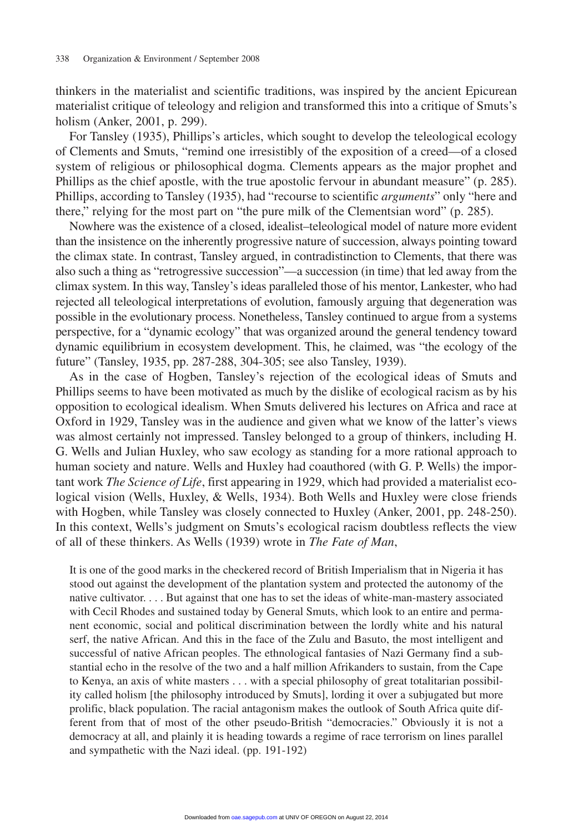thinkers in the materialist and scientific traditions, was inspired by the ancient Epicurean materialist critique of teleology and religion and transformed this into a critique of Smuts's holism (Anker, 2001, p. 299).

For Tansley (1935), Phillips's articles, which sought to develop the teleological ecology of Clements and Smuts, "remind one irresistibly of the exposition of a creed—of a closed system of religious or philosophical dogma. Clements appears as the major prophet and Phillips as the chief apostle, with the true apostolic fervour in abundant measure" (p. 285). Phillips, according to Tansley (1935), had "recourse to scientific *arguments*" only "here and there," relying for the most part on "the pure milk of the Clementsian word" (p. 285).

Nowhere was the existence of a closed, idealist–teleological model of nature more evident than the insistence on the inherently progressive nature of succession, always pointing toward the climax state. In contrast, Tansley argued, in contradistinction to Clements, that there was also such a thing as "retrogressive succession"—a succession (in time) that led away from the climax system. In this way, Tansley's ideas paralleled those of his mentor, Lankester, who had rejected all teleological interpretations of evolution, famously arguing that degeneration was possible in the evolutionary process. Nonetheless, Tansley continued to argue from a systems perspective, for a "dynamic ecology" that was organized around the general tendency toward dynamic equilibrium in ecosystem development. This, he claimed, was "the ecology of the future" (Tansley, 1935, pp. 287-288, 304-305; see also Tansley, 1939).

As in the case of Hogben, Tansley's rejection of the ecological ideas of Smuts and Phillips seems to have been motivated as much by the dislike of ecological racism as by his opposition to ecological idealism. When Smuts delivered his lectures on Africa and race at Oxford in 1929, Tansley was in the audience and given what we know of the latter's views was almost certainly not impressed. Tansley belonged to a group of thinkers, including H. G. Wells and Julian Huxley, who saw ecology as standing for a more rational approach to human society and nature. Wells and Huxley had coauthored (with G. P. Wells) the important work *The Science of Life*, first appearing in 1929, which had provided a materialist ecological vision (Wells, Huxley, & Wells, 1934). Both Wells and Huxley were close friends with Hogben, while Tansley was closely connected to Huxley (Anker, 2001, pp. 248-250). In this context, Wells's judgment on Smuts's ecological racism doubtless reflects the view of all of these thinkers. As Wells (1939) wrote in *The Fate of Man*,

It is one of the good marks in the checkered record of British Imperialism that in Nigeria it has stood out against the development of the plantation system and protected the autonomy of the native cultivator. . . . But against that one has to set the ideas of white-man-mastery associated with Cecil Rhodes and sustained today by General Smuts, which look to an entire and permanent economic, social and political discrimination between the lordly white and his natural serf, the native African. And this in the face of the Zulu and Basuto, the most intelligent and successful of native African peoples. The ethnological fantasies of Nazi Germany find a substantial echo in the resolve of the two and a half million Afrikanders to sustain, from the Cape to Kenya, an axis of white masters . . . with a special philosophy of great totalitarian possibility called holism [the philosophy introduced by Smuts], lording it over a subjugated but more prolific, black population. The racial antagonism makes the outlook of South Africa quite different from that of most of the other pseudo-British "democracies." Obviously it is not a democracy at all, and plainly it is heading towards a regime of race terrorism on lines parallel and sympathetic with the Nazi ideal. (pp. 191-192)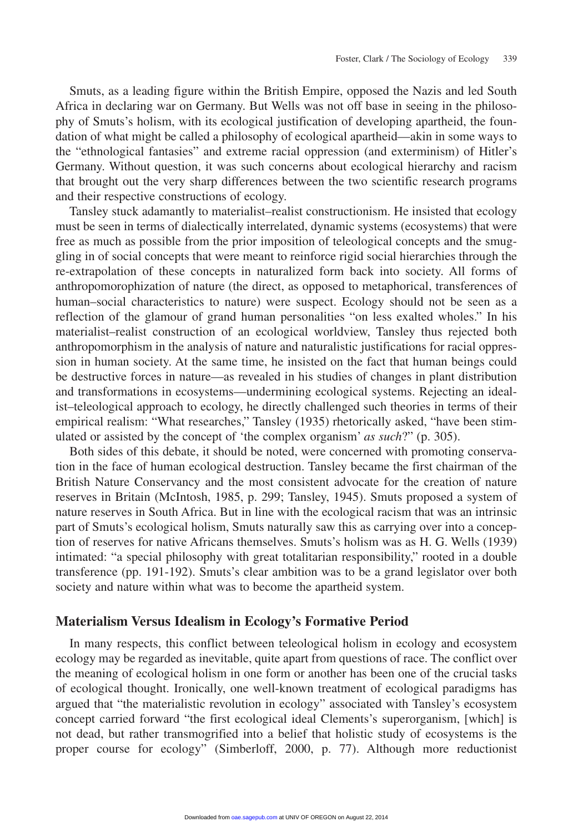Smuts, as a leading figure within the British Empire, opposed the Nazis and led South Africa in declaring war on Germany. But Wells was not off base in seeing in the philosophy of Smuts's holism, with its ecological justification of developing apartheid, the foundation of what might be called a philosophy of ecological apartheid—akin in some ways to the "ethnological fantasies" and extreme racial oppression (and exterminism) of Hitler's Germany. Without question, it was such concerns about ecological hierarchy and racism that brought out the very sharp differences between the two scientific research programs and their respective constructions of ecology.

Tansley stuck adamantly to materialist–realist constructionism. He insisted that ecology must be seen in terms of dialectically interrelated, dynamic systems (ecosystems) that were free as much as possible from the prior imposition of teleological concepts and the smuggling in of social concepts that were meant to reinforce rigid social hierarchies through the re-extrapolation of these concepts in naturalized form back into society. All forms of anthropomorophization of nature (the direct, as opposed to metaphorical, transferences of human–social characteristics to nature) were suspect. Ecology should not be seen as a reflection of the glamour of grand human personalities "on less exalted wholes." In his materialist–realist construction of an ecological worldview, Tansley thus rejected both anthropomorphism in the analysis of nature and naturalistic justifications for racial oppression in human society. At the same time, he insisted on the fact that human beings could be destructive forces in nature—as revealed in his studies of changes in plant distribution and transformations in ecosystems—undermining ecological systems. Rejecting an idealist–teleological approach to ecology, he directly challenged such theories in terms of their empirical realism: "What researches," Tansley (1935) rhetorically asked, "have been stimulated or assisted by the concept of 'the complex organism' *as such*?" (p. 305).

Both sides of this debate, it should be noted, were concerned with promoting conservation in the face of human ecological destruction. Tansley became the first chairman of the British Nature Conservancy and the most consistent advocate for the creation of nature reserves in Britain (McIntosh, 1985, p. 299; Tansley, 1945). Smuts proposed a system of nature reserves in South Africa. But in line with the ecological racism that was an intrinsic part of Smuts's ecological holism, Smuts naturally saw this as carrying over into a conception of reserves for native Africans themselves. Smuts's holism was as H. G. Wells (1939) intimated: "a special philosophy with great totalitarian responsibility," rooted in a double transference (pp. 191-192). Smuts's clear ambition was to be a grand legislator over both society and nature within what was to become the apartheid system.

#### **Materialism Versus Idealism in Ecology's Formative Period**

In many respects, this conflict between teleological holism in ecology and ecosystem ecology may be regarded as inevitable, quite apart from questions of race. The conflict over the meaning of ecological holism in one form or another has been one of the crucial tasks of ecological thought. Ironically, one well-known treatment of ecological paradigms has argued that "the materialistic revolution in ecology" associated with Tansley's ecosystem concept carried forward "the first ecological ideal Clements's superorganism, [which] is not dead, but rather transmogrified into a belief that holistic study of ecosystems is the proper course for ecology" (Simberloff, 2000, p. 77). Although more reductionist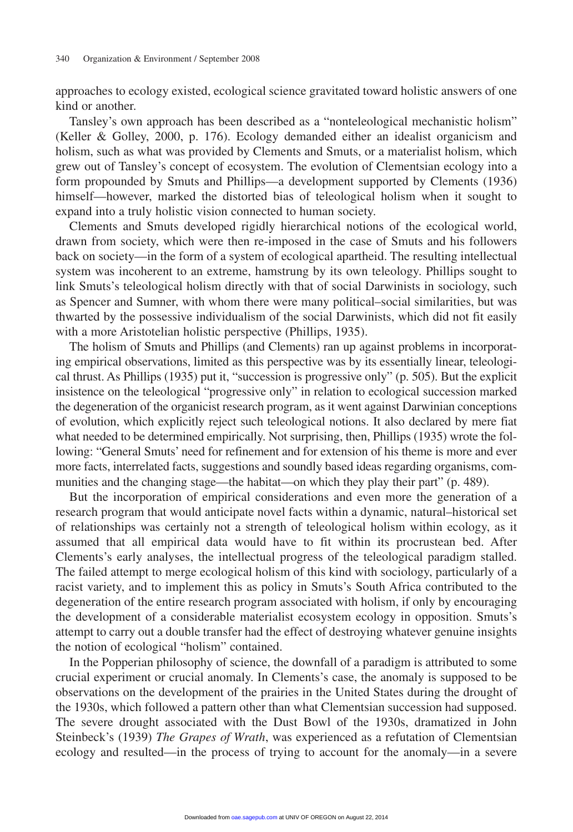approaches to ecology existed, ecological science gravitated toward holistic answers of one kind or another.

Tansley's own approach has been described as a "nonteleological mechanistic holism" (Keller & Golley, 2000, p. 176). Ecology demanded either an idealist organicism and holism, such as what was provided by Clements and Smuts, or a materialist holism, which grew out of Tansley's concept of ecosystem. The evolution of Clementsian ecology into a form propounded by Smuts and Phillips—a development supported by Clements (1936) himself—however, marked the distorted bias of teleological holism when it sought to expand into a truly holistic vision connected to human society.

Clements and Smuts developed rigidly hierarchical notions of the ecological world, drawn from society, which were then re-imposed in the case of Smuts and his followers back on society—in the form of a system of ecological apartheid. The resulting intellectual system was incoherent to an extreme, hamstrung by its own teleology. Phillips sought to link Smuts's teleological holism directly with that of social Darwinists in sociology, such as Spencer and Sumner, with whom there were many political–social similarities, but was thwarted by the possessive individualism of the social Darwinists, which did not fit easily with a more Aristotelian holistic perspective (Phillips, 1935).

The holism of Smuts and Phillips (and Clements) ran up against problems in incorporating empirical observations, limited as this perspective was by its essentially linear, teleological thrust. As Phillips (1935) put it, "succession is progressive only" (p. 505). But the explicit insistence on the teleological "progressive only" in relation to ecological succession marked the degeneration of the organicist research program, as it went against Darwinian conceptions of evolution, which explicitly reject such teleological notions. It also declared by mere fiat what needed to be determined empirically. Not surprising, then, Phillips (1935) wrote the following: "General Smuts' need for refinement and for extension of his theme is more and ever more facts, interrelated facts, suggestions and soundly based ideas regarding organisms, communities and the changing stage—the habitat—on which they play their part" (p. 489).

But the incorporation of empirical considerations and even more the generation of a research program that would anticipate novel facts within a dynamic, natural–historical set of relationships was certainly not a strength of teleological holism within ecology, as it assumed that all empirical data would have to fit within its procrustean bed. After Clements's early analyses, the intellectual progress of the teleological paradigm stalled. The failed attempt to merge ecological holism of this kind with sociology, particularly of a racist variety, and to implement this as policy in Smuts's South Africa contributed to the degeneration of the entire research program associated with holism, if only by encouraging the development of a considerable materialist ecosystem ecology in opposition. Smuts's attempt to carry out a double transfer had the effect of destroying whatever genuine insights the notion of ecological "holism" contained.

In the Popperian philosophy of science, the downfall of a paradigm is attributed to some crucial experiment or crucial anomaly. In Clements's case, the anomaly is supposed to be observations on the development of the prairies in the United States during the drought of the 1930s, which followed a pattern other than what Clementsian succession had supposed. The severe drought associated with the Dust Bowl of the 1930s, dramatized in John Steinbeck's (1939) *The Grapes of Wrath*, was experienced as a refutation of Clementsian ecology and resulted—in the process of trying to account for the anomaly—in a severe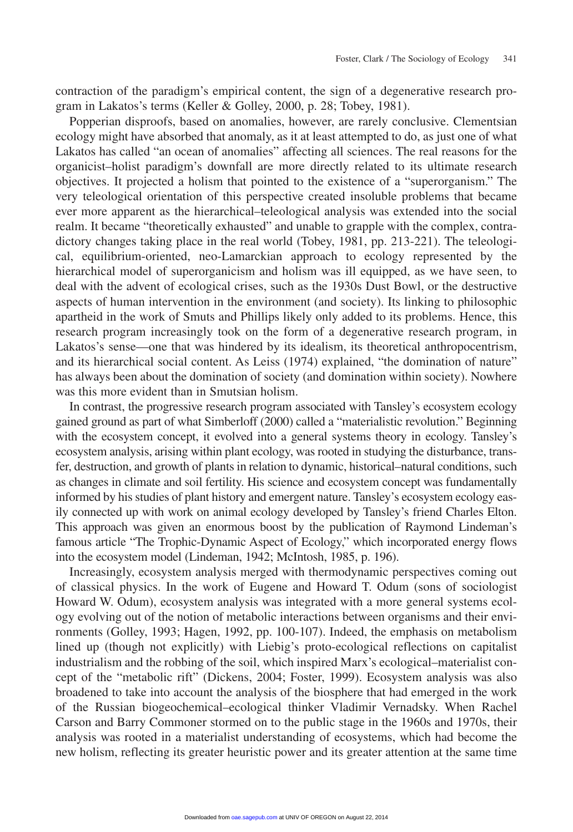contraction of the paradigm's empirical content, the sign of a degenerative research program in Lakatos's terms (Keller & Golley, 2000, p. 28; Tobey, 1981).

Popperian disproofs, based on anomalies, however, are rarely conclusive. Clementsian ecology might have absorbed that anomaly, as it at least attempted to do, as just one of what Lakatos has called "an ocean of anomalies" affecting all sciences. The real reasons for the organicist–holist paradigm's downfall are more directly related to its ultimate research objectives. It projected a holism that pointed to the existence of a "superorganism." The very teleological orientation of this perspective created insoluble problems that became ever more apparent as the hierarchical–teleological analysis was extended into the social realm. It became "theoretically exhausted" and unable to grapple with the complex, contradictory changes taking place in the real world (Tobey, 1981, pp. 213-221). The teleological, equilibrium-oriented, neo-Lamarckian approach to ecology represented by the hierarchical model of superorganicism and holism was ill equipped, as we have seen, to deal with the advent of ecological crises, such as the 1930s Dust Bowl, or the destructive aspects of human intervention in the environment (and society). Its linking to philosophic apartheid in the work of Smuts and Phillips likely only added to its problems. Hence, this research program increasingly took on the form of a degenerative research program, in Lakatos's sense—one that was hindered by its idealism, its theoretical anthropocentrism, and its hierarchical social content. As Leiss (1974) explained, "the domination of nature" has always been about the domination of society (and domination within society). Nowhere was this more evident than in Smutsian holism.

In contrast, the progressive research program associated with Tansley's ecosystem ecology gained ground as part of what Simberloff (2000) called a "materialistic revolution." Beginning with the ecosystem concept, it evolved into a general systems theory in ecology. Tansley's ecosystem analysis, arising within plant ecology, was rooted in studying the disturbance, transfer, destruction, and growth of plants in relation to dynamic, historical–natural conditions, such as changes in climate and soil fertility. His science and ecosystem concept was fundamentally informed by his studies of plant history and emergent nature. Tansley's ecosystem ecology easily connected up with work on animal ecology developed by Tansley's friend Charles Elton. This approach was given an enormous boost by the publication of Raymond Lindeman's famous article "The Trophic-Dynamic Aspect of Ecology," which incorporated energy flows into the ecosystem model (Lindeman, 1942; McIntosh, 1985, p. 196).

Increasingly, ecosystem analysis merged with thermodynamic perspectives coming out of classical physics. In the work of Eugene and Howard T. Odum (sons of sociologist Howard W. Odum), ecosystem analysis was integrated with a more general systems ecology evolving out of the notion of metabolic interactions between organisms and their environments (Golley, 1993; Hagen, 1992, pp. 100-107). Indeed, the emphasis on metabolism lined up (though not explicitly) with Liebig's proto-ecological reflections on capitalist industrialism and the robbing of the soil, which inspired Marx's ecological–materialist concept of the "metabolic rift" (Dickens, 2004; Foster, 1999). Ecosystem analysis was also broadened to take into account the analysis of the biosphere that had emerged in the work of the Russian biogeochemical–ecological thinker Vladimir Vernadsky. When Rachel Carson and Barry Commoner stormed on to the public stage in the 1960s and 1970s, their analysis was rooted in a materialist understanding of ecosystems, which had become the new holism, reflecting its greater heuristic power and its greater attention at the same time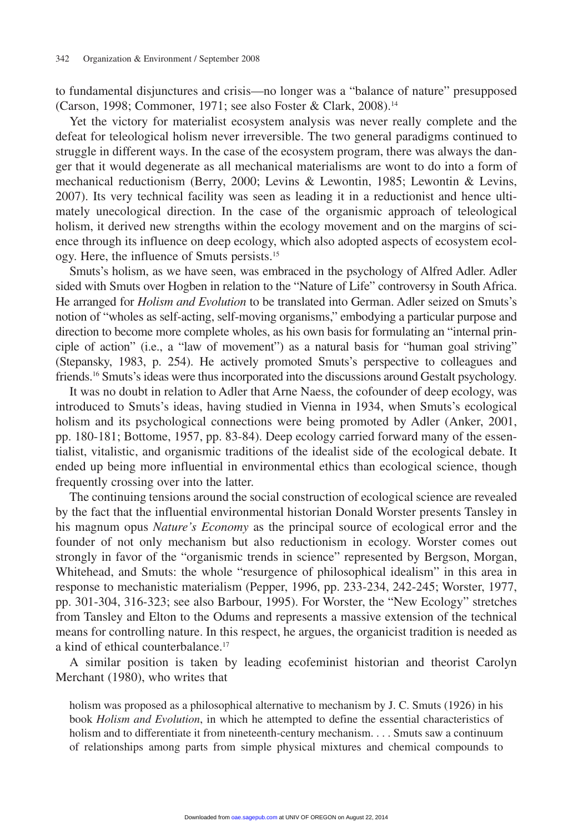to fundamental disjunctures and crisis—no longer was a "balance of nature" presupposed (Carson, 1998; Commoner, 1971; see also Foster & Clark, 2008).14

Yet the victory for materialist ecosystem analysis was never really complete and the defeat for teleological holism never irreversible. The two general paradigms continued to struggle in different ways. In the case of the ecosystem program, there was always the danger that it would degenerate as all mechanical materialisms are wont to do into a form of mechanical reductionism (Berry, 2000; Levins & Lewontin, 1985; Lewontin & Levins, 2007). Its very technical facility was seen as leading it in a reductionist and hence ultimately unecological direction. In the case of the organismic approach of teleological holism, it derived new strengths within the ecology movement and on the margins of science through its influence on deep ecology, which also adopted aspects of ecosystem ecology. Here, the influence of Smuts persists.15

Smuts's holism, as we have seen, was embraced in the psychology of Alfred Adler. Adler sided with Smuts over Hogben in relation to the "Nature of Life" controversy in South Africa. He arranged for *Holism and Evolution* to be translated into German. Adler seized on Smuts's notion of "wholes as self-acting, self-moving organisms," embodying a particular purpose and direction to become more complete wholes, as his own basis for formulating an "internal principle of action" (i.e., a "law of movement") as a natural basis for "human goal striving" (Stepansky, 1983, p. 254). He actively promoted Smuts's perspective to colleagues and friends.16 Smuts's ideas were thus incorporated into the discussions around Gestalt psychology.

It was no doubt in relation to Adler that Arne Naess, the cofounder of deep ecology, was introduced to Smuts's ideas, having studied in Vienna in 1934, when Smuts's ecological holism and its psychological connections were being promoted by Adler (Anker, 2001, pp. 180-181; Bottome, 1957, pp. 83-84). Deep ecology carried forward many of the essentialist, vitalistic, and organismic traditions of the idealist side of the ecological debate. It ended up being more influential in environmental ethics than ecological science, though frequently crossing over into the latter.

The continuing tensions around the social construction of ecological science are revealed by the fact that the influential environmental historian Donald Worster presents Tansley in his magnum opus *Nature's Economy* as the principal source of ecological error and the founder of not only mechanism but also reductionism in ecology. Worster comes out strongly in favor of the "organismic trends in science" represented by Bergson, Morgan, Whitehead, and Smuts: the whole "resurgence of philosophical idealism" in this area in response to mechanistic materialism (Pepper, 1996, pp. 233-234, 242-245; Worster, 1977, pp. 301-304, 316-323; see also Barbour, 1995). For Worster, the "New Ecology" stretches from Tansley and Elton to the Odums and represents a massive extension of the technical means for controlling nature. In this respect, he argues, the organicist tradition is needed as a kind of ethical counterbalance.<sup>17</sup>

A similar position is taken by leading ecofeminist historian and theorist Carolyn Merchant (1980), who writes that

holism was proposed as a philosophical alternative to mechanism by J. C. Smuts (1926) in his book *Holism and Evolution*, in which he attempted to define the essential characteristics of holism and to differentiate it from nineteenth-century mechanism. . . . Smuts saw a continuum of relationships among parts from simple physical mixtures and chemical compounds to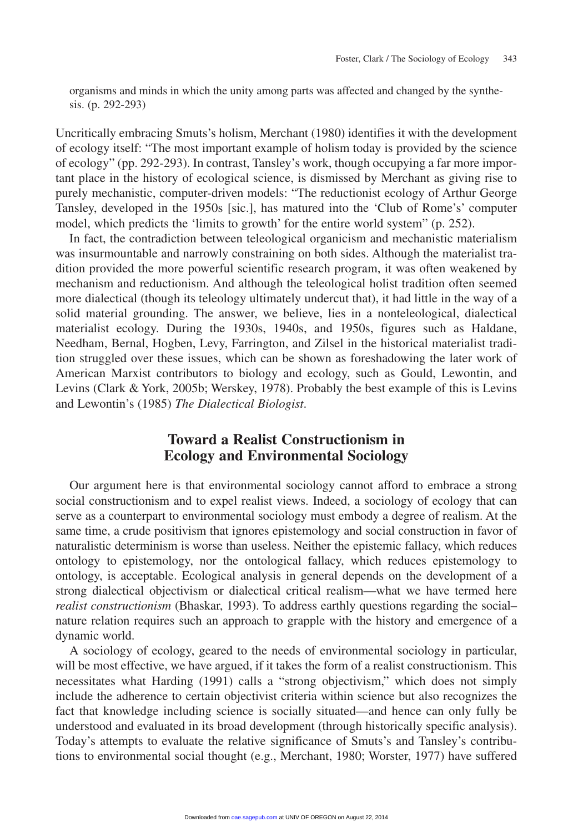organisms and minds in which the unity among parts was affected and changed by the synthesis. (p. 292-293)

Uncritically embracing Smuts's holism, Merchant (1980) identifies it with the development of ecology itself: "The most important example of holism today is provided by the science of ecology" (pp. 292-293). In contrast, Tansley's work, though occupying a far more important place in the history of ecological science, is dismissed by Merchant as giving rise to purely mechanistic, computer-driven models: "The reductionist ecology of Arthur George Tansley, developed in the 1950s [sic.], has matured into the 'Club of Rome's' computer model, which predicts the 'limits to growth' for the entire world system" (p. 252).

In fact, the contradiction between teleological organicism and mechanistic materialism was insurmountable and narrowly constraining on both sides. Although the materialist tradition provided the more powerful scientific research program, it was often weakened by mechanism and reductionism. And although the teleological holist tradition often seemed more dialectical (though its teleology ultimately undercut that), it had little in the way of a solid material grounding. The answer, we believe, lies in a nonteleological, dialectical materialist ecology. During the 1930s, 1940s, and 1950s, figures such as Haldane, Needham, Bernal, Hogben, Levy, Farrington, and Zilsel in the historical materialist tradition struggled over these issues, which can be shown as foreshadowing the later work of American Marxist contributors to biology and ecology, such as Gould, Lewontin, and Levins (Clark & York, 2005b; Werskey, 1978). Probably the best example of this is Levins and Lewontin's (1985) *The Dialectical Biologist*.

## **Toward a Realist Constructionism in Ecology and Environmental Sociology**

Our argument here is that environmental sociology cannot afford to embrace a strong social constructionism and to expel realist views. Indeed, a sociology of ecology that can serve as a counterpart to environmental sociology must embody a degree of realism. At the same time, a crude positivism that ignores epistemology and social construction in favor of naturalistic determinism is worse than useless. Neither the epistemic fallacy, which reduces ontology to epistemology, nor the ontological fallacy, which reduces epistemology to ontology, is acceptable. Ecological analysis in general depends on the development of a strong dialectical objectivism or dialectical critical realism—what we have termed here *realist constructionism* (Bhaskar, 1993). To address earthly questions regarding the social– nature relation requires such an approach to grapple with the history and emergence of a dynamic world.

A sociology of ecology, geared to the needs of environmental sociology in particular, will be most effective, we have argued, if it takes the form of a realist constructionism. This necessitates what Harding (1991) calls a "strong objectivism," which does not simply include the adherence to certain objectivist criteria within science but also recognizes the fact that knowledge including science is socially situated—and hence can only fully be understood and evaluated in its broad development (through historically specific analysis). Today's attempts to evaluate the relative significance of Smuts's and Tansley's contributions to environmental social thought (e.g., Merchant, 1980; Worster, 1977) have suffered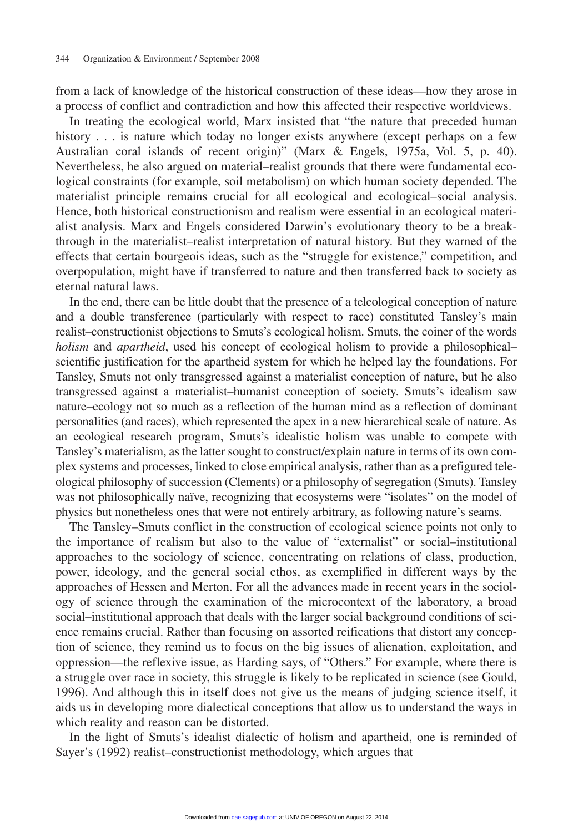from a lack of knowledge of the historical construction of these ideas—how they arose in a process of conflict and contradiction and how this affected their respective worldviews.

In treating the ecological world, Marx insisted that "the nature that preceded human history . . . is nature which today no longer exists anywhere (except perhaps on a few Australian coral islands of recent origin)" (Marx & Engels, 1975a, Vol. 5, p. 40). Nevertheless, he also argued on material–realist grounds that there were fundamental ecological constraints (for example, soil metabolism) on which human society depended. The materialist principle remains crucial for all ecological and ecological–social analysis. Hence, both historical constructionism and realism were essential in an ecological materialist analysis. Marx and Engels considered Darwin's evolutionary theory to be a breakthrough in the materialist–realist interpretation of natural history. But they warned of the effects that certain bourgeois ideas, such as the "struggle for existence," competition, and overpopulation, might have if transferred to nature and then transferred back to society as eternal natural laws.

In the end, there can be little doubt that the presence of a teleological conception of nature and a double transference (particularly with respect to race) constituted Tansley's main realist–constructionist objections to Smuts's ecological holism. Smuts, the coiner of the words *holism* and *apartheid*, used his concept of ecological holism to provide a philosophical– scientific justification for the apartheid system for which he helped lay the foundations. For Tansley, Smuts not only transgressed against a materialist conception of nature, but he also transgressed against a materialist–humanist conception of society. Smuts's idealism saw nature–ecology not so much as a reflection of the human mind as a reflection of dominant personalities (and races), which represented the apex in a new hierarchical scale of nature. As an ecological research program, Smuts's idealistic holism was unable to compete with Tansley's materialism, as the latter sought to construct/explain nature in terms of its own complex systems and processes, linked to close empirical analysis, rather than as a prefigured teleological philosophy of succession (Clements) or a philosophy of segregation (Smuts). Tansley was not philosophically naïve, recognizing that ecosystems were "isolates" on the model of physics but nonetheless ones that were not entirely arbitrary, as following nature's seams.

The Tansley–Smuts conflict in the construction of ecological science points not only to the importance of realism but also to the value of "externalist" or social–institutional approaches to the sociology of science, concentrating on relations of class, production, power, ideology, and the general social ethos, as exemplified in different ways by the approaches of Hessen and Merton. For all the advances made in recent years in the sociology of science through the examination of the microcontext of the laboratory, a broad social–institutional approach that deals with the larger social background conditions of science remains crucial. Rather than focusing on assorted reifications that distort any conception of science, they remind us to focus on the big issues of alienation, exploitation, and oppression—the reflexive issue, as Harding says, of "Others." For example, where there is a struggle over race in society, this struggle is likely to be replicated in science (see Gould, 1996). And although this in itself does not give us the means of judging science itself, it aids us in developing more dialectical conceptions that allow us to understand the ways in which reality and reason can be distorted.

In the light of Smuts's idealist dialectic of holism and apartheid, one is reminded of Sayer's (1992) realist–constructionist methodology, which argues that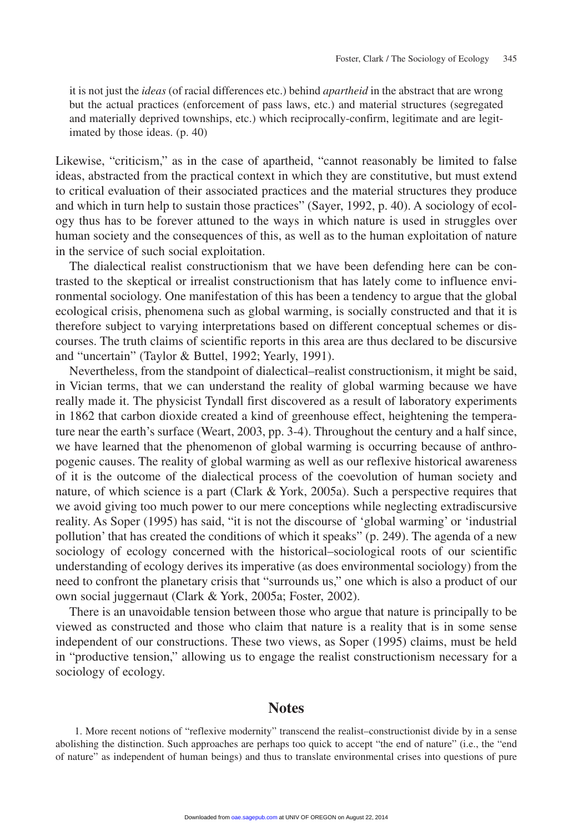it is not just the *ideas* (of racial differences etc.) behind *apartheid* in the abstract that are wrong but the actual practices (enforcement of pass laws, etc.) and material structures (segregated and materially deprived townships, etc.) which reciprocally-confirm, legitimate and are legitimated by those ideas. (p. 40)

Likewise, "criticism," as in the case of apartheid, "cannot reasonably be limited to false ideas, abstracted from the practical context in which they are constitutive, but must extend to critical evaluation of their associated practices and the material structures they produce and which in turn help to sustain those practices" (Sayer, 1992, p. 40). A sociology of ecology thus has to be forever attuned to the ways in which nature is used in struggles over human society and the consequences of this, as well as to the human exploitation of nature in the service of such social exploitation.

The dialectical realist constructionism that we have been defending here can be contrasted to the skeptical or irrealist constructionism that has lately come to influence environmental sociology. One manifestation of this has been a tendency to argue that the global ecological crisis, phenomena such as global warming, is socially constructed and that it is therefore subject to varying interpretations based on different conceptual schemes or discourses. The truth claims of scientific reports in this area are thus declared to be discursive and "uncertain" (Taylor & Buttel, 1992; Yearly, 1991).

Nevertheless, from the standpoint of dialectical–realist constructionism, it might be said, in Vician terms, that we can understand the reality of global warming because we have really made it. The physicist Tyndall first discovered as a result of laboratory experiments in 1862 that carbon dioxide created a kind of greenhouse effect, heightening the temperature near the earth's surface (Weart, 2003, pp. 3-4). Throughout the century and a half since, we have learned that the phenomenon of global warming is occurring because of anthropogenic causes. The reality of global warming as well as our reflexive historical awareness of it is the outcome of the dialectical process of the coevolution of human society and nature, of which science is a part (Clark & York, 2005a). Such a perspective requires that we avoid giving too much power to our mere conceptions while neglecting extradiscursive reality. As Soper (1995) has said, "it is not the discourse of 'global warming' or 'industrial pollution' that has created the conditions of which it speaks" (p. 249). The agenda of a new sociology of ecology concerned with the historical–sociological roots of our scientific understanding of ecology derives its imperative (as does environmental sociology) from the need to confront the planetary crisis that "surrounds us," one which is also a product of our own social juggernaut (Clark & York, 2005a; Foster, 2002).

There is an unavoidable tension between those who argue that nature is principally to be viewed as constructed and those who claim that nature is a reality that is in some sense independent of our constructions. These two views, as Soper (1995) claims, must be held in "productive tension," allowing us to engage the realist constructionism necessary for a sociology of ecology.

#### **Notes**

1. More recent notions of "reflexive modernity" transcend the realist–constructionist divide by in a sense abolishing the distinction. Such approaches are perhaps too quick to accept "the end of nature" (i.e., the "end of nature" as independent of human beings) and thus to translate environmental crises into questions of pure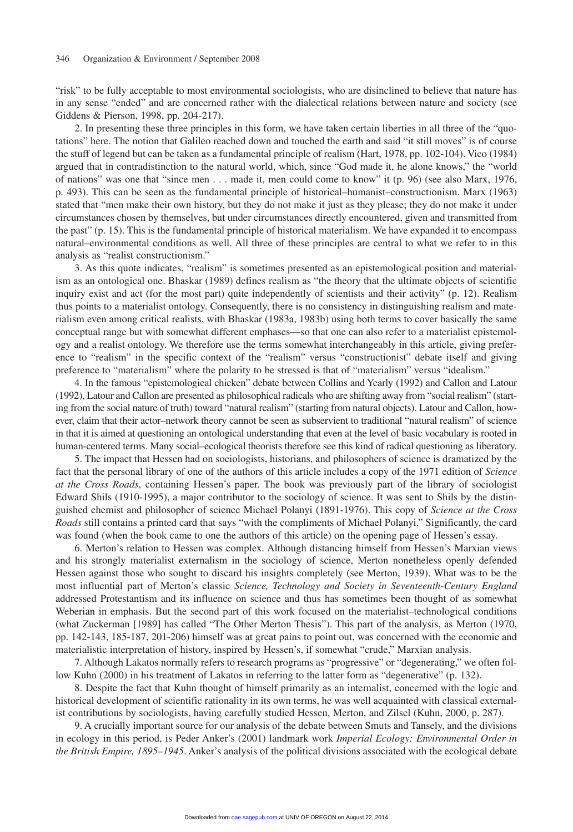"risk" to be fully acceptable to most environmental sociologists, who are disinclined to believe that nature has in any sense "ended" and are concerned rather with the dialectical relations between nature and society (see Giddens & Pierson, 1998, pp. 204-217).

2. In presenting these three principles in this form, we have taken certain liberties in all three of the "quotations" here. The notion that Galileo reached down and touched the earth and said "it still moves" is of course the stuff of legend but can be taken as a fundamental principle of realism (Hart, 1978, pp. 102-104). Vico (1984) argued that in contradistinction to the natural world, which, since "God made it, he alone knows," the "world of nations" was one that "since men . . . made it, men could come to know" it (p. 96) (see also Marx, 1976, p. 493). This can be seen as the fundamental principle of historical–humanist–constructionism. Marx (1963) stated that "men make their own history, but they do not make it just as they please; they do not make it under circumstances chosen by themselves, but under circumstances directly encountered, given and transmitted from the past" (p. 15). This is the fundamental principle of historical materialism. We have expanded it to encompass natural–environmental conditions as well. All three of these principles are central to what we refer to in this analysis as "realist constructionism."

3. As this quote indicates, "realism" is sometimes presented as an epistemological position and materialism as an ontological one. Bhaskar (1989) defines realism as "the theory that the ultimate objects of scientific inquiry exist and act (for the most part) quite independently of scientists and their activity" (p. 12). Realism thus points to a materialist ontology. Consequently, there is no consistency in distinguishing realism and materialism even among critical realists, with Bhaskar (1983a, 1983b) using both terms to cover basically the same conceptual range but with somewhat different emphases—so that one can also refer to a materialist epistemology and a realist ontology. We therefore use the terms somewhat interchangeably in this article, giving preference to "realism" in the specific context of the "realism" versus "constructionist" debate itself and giving preference to "materialism" where the polarity to be stressed is that of "materialism" versus "idealism."

4. In the famous "epistemological chicken" debate between Collins and Yearly (1992) and Callon and Latour (1992), Latour and Callon are presented as philosophical radicals who are shifting away from "social realism" (starting from the social nature of truth) toward "natural realism" (starting from natural objects). Latour and Callon, however, claim that their actor–network theory cannot be seen as subservient to traditional "natural realism" of science in that it is aimed at questioning an ontological understanding that even at the level of basic vocabulary is rooted in human-centered terms. Many social–ecological theorists therefore see this kind of radical questioning as liberatory.

5. The impact that Hessen had on sociologists, historians, and philosophers of science is dramatized by the fact that the personal library of one of the authors of this article includes a copy of the 1971 edition of *Science at the Cross Roads*, containing Hessen's paper. The book was previously part of the library of sociologist Edward Shils (1910-1995), a major contributor to the sociology of science. It was sent to Shils by the distinguished chemist and philosopher of science Michael Polanyi (1891-1976). This copy of *Science at the Cross Roads* still contains a printed card that says "with the compliments of Michael Polanyi." Significantly, the card was found (when the book came to one the authors of this article) on the opening page of Hessen's essay.

6. Merton's relation to Hessen was complex. Although distancing himself from Hessen's Marxian views and his strongly materialist externalism in the sociology of science, Merton nonetheless openly defended Hessen against those who sought to discard his insights completely (see Merton, 1939). What was to be the most influential part of Merton's classic *Science, Technology and Society in Seventeenth-Century England* addressed Protestantism and its influence on science and thus has sometimes been thought of as somewhat Weberian in emphasis. But the second part of this work focused on the materialist–technological conditions (what Zuckerman [1989] has called "The Other Merton Thesis"). This part of the analysis, as Merton (1970, pp. 142-143, 185-187, 201-206) himself was at great pains to point out, was concerned with the economic and materialistic interpretation of history, inspired by Hessen's, if somewhat "crude," Marxian analysis.

7. Although Lakatos normally refers to research programs as "progressive" or "degenerating," we often follow Kuhn (2000) in his treatment of Lakatos in referring to the latter form as "degenerative" (p. 132).

8. Despite the fact that Kuhn thought of himself primarily as an internalist, concerned with the logic and historical development of scientific rationality in its own terms, he was well acquainted with classical externalist contributions by sociologists, having carefully studied Hessen, Merton, and Zilsel (Kuhn, 2000, p. 287).

9. A crucially important source for our analysis of the debate between Smuts and Tansely, and the divisions in ecology in this period, is Peder Anker's (2001) landmark work *Imperial Ecology: Environmental Order in the British Empire, 1895–1945*. Anker's analysis of the political divisions associated with the ecological debate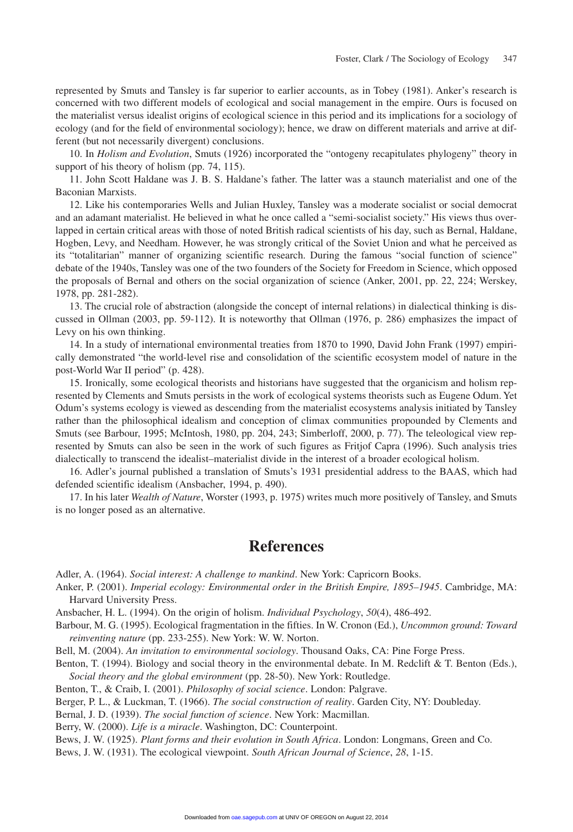represented by Smuts and Tansley is far superior to earlier accounts, as in Tobey (1981). Anker's research is concerned with two different models of ecological and social management in the empire. Ours is focused on the materialist versus idealist origins of ecological science in this period and its implications for a sociology of ecology (and for the field of environmental sociology); hence, we draw on different materials and arrive at different (but not necessarily divergent) conclusions.

10. In *Holism and Evolution*, Smuts (1926) incorporated the "ontogeny recapitulates phylogeny" theory in support of his theory of holism (pp. 74, 115).

11. John Scott Haldane was J. B. S. Haldane's father. The latter was a staunch materialist and one of the Baconian Marxists.

12. Like his contemporaries Wells and Julian Huxley, Tansley was a moderate socialist or social democrat and an adamant materialist. He believed in what he once called a "semi-socialist society." His views thus overlapped in certain critical areas with those of noted British radical scientists of his day, such as Bernal, Haldane, Hogben, Levy, and Needham. However, he was strongly critical of the Soviet Union and what he perceived as its "totalitarian" manner of organizing scientific research. During the famous "social function of science" debate of the 1940s, Tansley was one of the two founders of the Society for Freedom in Science, which opposed the proposals of Bernal and others on the social organization of science (Anker, 2001, pp. 22, 224; Werskey, 1978, pp. 281-282).

13. The crucial role of abstraction (alongside the concept of internal relations) in dialectical thinking is discussed in Ollman (2003, pp. 59-112). It is noteworthy that Ollman (1976, p. 286) emphasizes the impact of Levy on his own thinking.

14. In a study of international environmental treaties from 1870 to 1990, David John Frank (1997) empirically demonstrated "the world-level rise and consolidation of the scientific ecosystem model of nature in the post-World War II period" (p. 428).

15. Ironically, some ecological theorists and historians have suggested that the organicism and holism represented by Clements and Smuts persists in the work of ecological systems theorists such as Eugene Odum. Yet Odum's systems ecology is viewed as descending from the materialist ecosystems analysis initiated by Tansley rather than the philosophical idealism and conception of climax communities propounded by Clements and Smuts (see Barbour, 1995; McIntosh, 1980, pp. 204, 243; Simberloff, 2000, p. 77). The teleological view represented by Smuts can also be seen in the work of such figures as Fritjof Capra (1996). Such analysis tries dialectically to transcend the idealist–materialist divide in the interest of a broader ecological holism.

16. Adler's journal published a translation of Smuts's 1931 presidential address to the BAAS, which had defended scientific idealism (Ansbacher, 1994, p. 490).

17. In his later *Wealth of Nature*, Worster (1993, p. 1975) writes much more positively of Tansley, and Smuts is no longer posed as an alternative.

### **References**

Adler, A. (1964). *Social interest: A challenge to mankind*. New York: Capricorn Books.

Anker, P. (2001). *Imperial ecology: Environmental order in the British Empire, 1895–1945*. Cambridge, MA: Harvard University Press.

Ansbacher, H. L. (1994). On the origin of holism. *Individual Psychology*, *50*(4), 486-492.

Barbour, M. G. (1995). Ecological fragmentation in the fifties. In W. Cronon (Ed.), *Uncommon ground: Toward reinventing nature* (pp. 233-255). New York: W. W. Norton.

Bell, M. (2004). *An invitation to environmental sociology*. Thousand Oaks, CA: Pine Forge Press.

Benton, T. (1994). Biology and social theory in the environmental debate. In M. Redclift & T. Benton (Eds.), *Social theory and the global environment* (pp. 28-50). New York: Routledge.

Benton, T., & Craib, I. (2001). *Philosophy of social science*. London: Palgrave.

Berger, P. L., & Luckman, T. (1966). *The social construction of reality*. Garden City, NY: Doubleday.

Bernal, J. D. (1939). *The social function of science*. New York: Macmillan.

Berry, W. (2000). *Life is a miracle*. Washington, DC: Counterpoint.

Bews, J. W. (1925). *Plant forms and their evolution in South Africa*. London: Longmans, Green and Co.

Bews, J. W. (1931). The ecological viewpoint. *South African Journal of Science*, *28*, 1-15.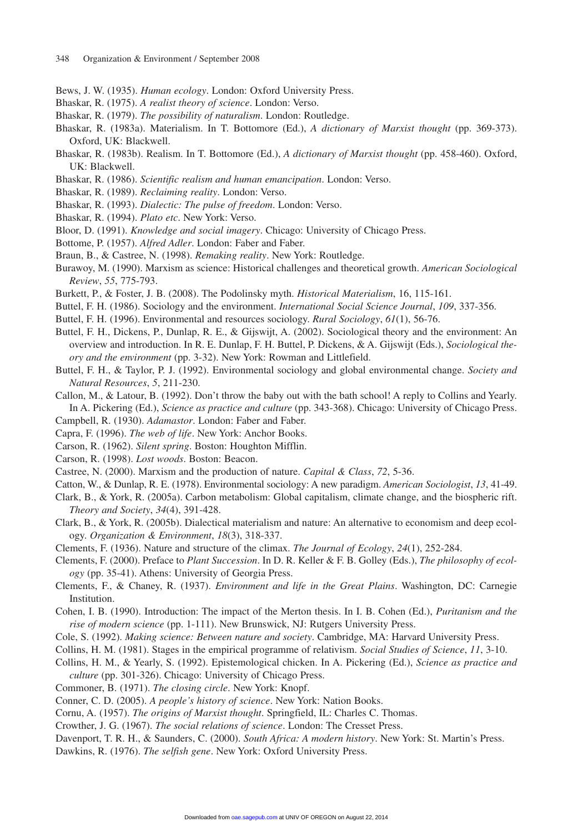- Bews, J. W. (1935). *Human ecology*. London: Oxford University Press.
- Bhaskar, R. (1975). *A realist theory of science*. London: Verso.
- Bhaskar, R. (1979). *The possibility of naturalism*. London: Routledge.
- Bhaskar, R. (1983a). Materialism. In T. Bottomore (Ed.), *A dictionary of Marxist thought* (pp. 369-373). Oxford, UK: Blackwell.
- Bhaskar, R. (1983b). Realism. In T. Bottomore (Ed.), *A dictionary of Marxist thought* (pp. 458-460). Oxford, UK: Blackwell.
- Bhaskar, R. (1986). *Scientific realism and human emancipation*. London: Verso.
- Bhaskar, R. (1989). *Reclaiming reality*. London: Verso.
- Bhaskar, R. (1993). *Dialectic: The pulse of freedom*. London: Verso.
- Bhaskar, R. (1994). *Plato etc*. New York: Verso.
- Bloor, D. (1991). *Knowledge and social imagery*. Chicago: University of Chicago Press.
- Bottome, P. (1957). *Alfred Adler*. London: Faber and Faber.
- Braun, B., & Castree, N. (1998). *Remaking reality*. New York: Routledge.
- Burawoy, M. (1990). Marxism as science: Historical challenges and theoretical growth. *American Sociological Review*, *55*, 775-793.
- Burkett, P., & Foster, J. B. (2008). The Podolinsky myth. *Historical Materialism*, 16, 115-161.
- Buttel, F. H. (1986). Sociology and the environment. *International Social Science Journal*, *109*, 337-356.
- Buttel, F. H. (1996). Environmental and resources sociology. *Rural Sociology*, *61*(1), 56-76.
- Buttel, F. H., Dickens, P., Dunlap, R. E., & Gijswijt, A. (2002). Sociological theory and the environment: An overview and introduction. In R. E. Dunlap, F. H. Buttel, P. Dickens, & A. Gijswijt (Eds.), *Sociological theory and the environment* (pp. 3-32). New York: Rowman and Littlefield.
- Buttel, F. H., & Taylor, P. J. (1992). Environmental sociology and global environmental change. *Society and Natural Resources*, *5*, 211-230.
- Callon, M., & Latour, B. (1992). Don't throw the baby out with the bath school! A reply to Collins and Yearly. In A. Pickering (Ed.), *Science as practice and culture* (pp. 343-368). Chicago: University of Chicago Press.
- Campbell, R. (1930). *Adamastor*. London: Faber and Faber.
- Capra, F. (1996). *The web of life*. New York: Anchor Books.
- Carson, R. (1962). *Silent spring*. Boston: Houghton Mifflin.
- Carson, R. (1998). *Lost woods*. Boston: Beacon.
- Castree, N. (2000). Marxism and the production of nature. *Capital & Class*, *72*, 5-36.
- Catton, W., & Dunlap, R. E. (1978). Environmental sociology: A new paradigm. *American Sociologist*, *13*, 41-49.
- Clark, B., & York, R. (2005a). Carbon metabolism: Global capitalism, climate change, and the biospheric rift. *Theory and Society*, *34*(4), 391-428.
- Clark, B., & York, R. (2005b). Dialectical materialism and nature: An alternative to economism and deep ecology. *Organization & Environment*, *18*(3), 318-337.
- Clements, F. (1936). Nature and structure of the climax. *The Journal of Ecology*, *24*(1), 252-284.
- Clements, F. (2000). Preface to *Plant Succession*. In D. R. Keller & F. B. Golley (Eds.), *The philosophy of ecology* (pp. 35-41). Athens: University of Georgia Press.
- Clements, F., & Chaney, R. (1937). *Environment and life in the Great Plains*. Washington, DC: Carnegie Institution.
- Cohen, I. B. (1990). Introduction: The impact of the Merton thesis. In I. B. Cohen (Ed.), *Puritanism and the rise of modern science* (pp. 1-111). New Brunswick, NJ: Rutgers University Press.
- Cole, S. (1992). *Making science: Between nature and society*. Cambridge, MA: Harvard University Press.
- Collins, H. M. (1981). Stages in the empirical programme of relativism. *Social Studies of Science*, *11*, 3-10.
- Collins, H. M., & Yearly, S. (1992). Epistemological chicken. In A. Pickering (Ed.), *Science as practice and culture* (pp. 301-326). Chicago: University of Chicago Press.
- Commoner, B. (1971). *The closing circle*. New York: Knopf.
- Conner, C. D. (2005). *A people's history of science*. New York: Nation Books.
- Cornu, A. (1957). *The origins of Marxist thought*. Springfield, IL: Charles C. Thomas.
- Crowther, J. G. (1967). *The social relations of science*. London: The Cresset Press.
- Davenport, T. R. H., & Saunders, C. (2000). *South Africa: A modern history*. New York: St. Martin's Press.
- Dawkins, R. (1976). *The selfish gene*. New York: Oxford University Press.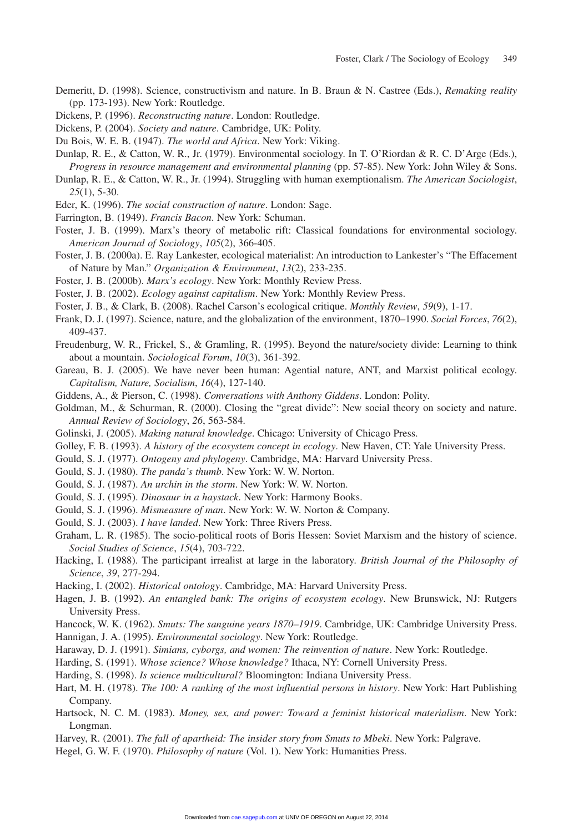- Demeritt, D. (1998). Science, constructivism and nature. In B. Braun & N. Castree (Eds.), *Remaking reality* (pp. 173-193). New York: Routledge.
- Dickens, P. (1996). *Reconstructing nature*. London: Routledge.
- Dickens, P. (2004). *Society and nature*. Cambridge, UK: Polity.
- Du Bois, W. E. B. (1947). *The world and Africa*. New York: Viking.
- Dunlap, R. E., & Catton, W. R., Jr. (1979). Environmental sociology. In T. O'Riordan & R. C. D'Arge (Eds.), *Progress in resource management and environmental planning (pp. 57-85). New York: John Wiley & Sons.*
- Dunlap, R. E., & Catton, W. R., Jr. (1994). Struggling with human exemptionalism. *The American Sociologist*, *25*(1), 5-30.
- Eder, K. (1996). *The social construction of nature*. London: Sage.
- Farrington, B. (1949). *Francis Bacon*. New York: Schuman.
- Foster, J. B. (1999). Marx's theory of metabolic rift: Classical foundations for environmental sociology. *American Journal of Sociology*, *105*(2), 366-405.
- Foster, J. B. (2000a). E. Ray Lankester, ecological materialist: An introduction to Lankester's "The Effacement of Nature by Man." *Organization & Environment*, *13*(2), 233-235.
- Foster, J. B. (2000b). *Marx's ecology*. New York: Monthly Review Press.
- Foster, J. B. (2002). *Ecology against capitalism*. New York: Monthly Review Press.
- Foster, J. B., & Clark, B. (2008). Rachel Carson's ecological critique. *Monthly Review*, *59*(9), 1-17.
- Frank, D. J. (1997). Science, nature, and the globalization of the environment, 1870–1990. *Social Forces*, *76*(2), 409-437.
- Freudenburg, W. R., Frickel, S., & Gramling, R. (1995). Beyond the nature/society divide: Learning to think about a mountain. *Sociological Forum*, *10*(3), 361-392.
- Gareau, B. J. (2005). We have never been human: Agential nature, ANT, and Marxist political ecology. *Capitalism, Nature, Socialism*, *16*(4), 127-140.
- Giddens, A., & Pierson, C. (1998). *Conversations with Anthony Giddens*. London: Polity.
- Goldman, M., & Schurman, R. (2000). Closing the "great divide": New social theory on society and nature. *Annual Review of Sociology*, *26*, 563-584.
- Golinski, J. (2005). *Making natural knowledge*. Chicago: University of Chicago Press.
- Golley, F. B. (1993). *A history of the ecosystem concept in ecology*. New Haven, CT: Yale University Press.
- Gould, S. J. (1977). *Ontogeny and phylogeny*. Cambridge, MA: Harvard University Press.
- Gould, S. J. (1980). *The panda's thumb*. New York: W. W. Norton.
- Gould, S. J. (1987). *An urchin in the storm*. New York: W. W. Norton.
- Gould, S. J. (1995). *Dinosaur in a haystack*. New York: Harmony Books.
- Gould, S. J. (1996). *Mismeasure of man*. New York: W. W. Norton & Company.
- Gould, S. J. (2003). *I have landed*. New York: Three Rivers Press.
- Graham, L. R. (1985). The socio-political roots of Boris Hessen: Soviet Marxism and the history of science. *Social Studies of Science*, *15*(4), 703-722.
- Hacking, I. (1988). The participant irrealist at large in the laboratory. *British Journal of the Philosophy of Science*, *39*, 277-294.
- Hacking, I. (2002). *Historical ontology*. Cambridge, MA: Harvard University Press.
- Hagen, J. B. (1992). *An entangled bank: The origins of ecosystem ecology*. New Brunswick, NJ: Rutgers University Press.
- Hancock, W. K. (1962). *Smuts: The sanguine years 1870–1919*. Cambridge, UK: Cambridge University Press.
- Hannigan, J. A. (1995). *Environmental sociology*. New York: Routledge.
- Haraway, D. J. (1991). *Simians, cyborgs, and women: The reinvention of nature*. New York: Routledge.
- Harding, S. (1991). *Whose science? Whose knowledge?* Ithaca, NY: Cornell University Press.
- Harding, S. (1998). *Is science multicultural?* Bloomington: Indiana University Press.
- Hart, M. H. (1978). *The 100: A ranking of the most influential persons in history*. New York: Hart Publishing Company.
- Hartsock, N. C. M. (1983). *Money, sex, and power: Toward a feminist historical materialism*. New York: Longman.
- Harvey, R. (2001). *The fall of apartheid: The insider story from Smuts to Mbeki*. New York: Palgrave.
- Hegel, G. W. F. (1970). *Philosophy of nature* (Vol. 1). New York: Humanities Press.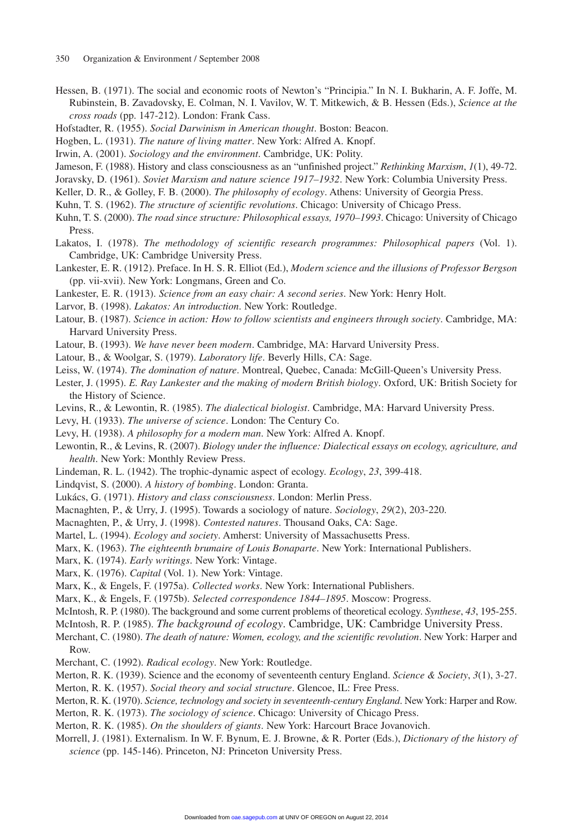Hessen, B. (1971). The social and economic roots of Newton's "Principia." In N. I. Bukharin, A. F. Joffe, M. Rubinstein, B. Zavadovsky, E. Colman, N. I. Vavilov, W. T. Mitkewich, & B. Hessen (Eds.), *Science at the cross roads* (pp. 147-212). London: Frank Cass.

- Hofstadter, R. (1955). *Social Darwinism in American thought*. Boston: Beacon.
- Hogben, L. (1931). *The nature of living matter*. New York: Alfred A. Knopf.
- Irwin, A. (2001). *Sociology and the environment*. Cambridge, UK: Polity.
- Jameson, F. (1988). History and class consciousness as an "unfinished project." *Rethinking Marxism*, *1*(1), 49-72.

Joravsky, D. (1961). *Soviet Marxism and nature science 1917–1932*. New York: Columbia University Press.

Keller, D. R., & Golley, F. B. (2000). *The philosophy of ecology*. Athens: University of Georgia Press.

Kuhn, T. S. (1962). *The structure of scientific revolutions*. Chicago: University of Chicago Press.

- Kuhn, T. S. (2000). *The road since structure: Philosophical essays, 1970–1993*. Chicago: University of Chicago Press.
- Lakatos, I. (1978). *The methodology of scientific research programmes: Philosophical papers* (Vol. 1). Cambridge, UK: Cambridge University Press.
- Lankester, E. R. (1912). Preface. In H. S. R. Elliot (Ed.), *Modern science and the illusions of Professor Bergson* (pp. vii-xvii). New York: Longmans, Green and Co.
- Lankester, E. R. (1913). *Science from an easy chair: A second series*. New York: Henry Holt.
- Larvor, B. (1998). *Lakatos: An introduction*. New York: Routledge.
- Latour, B. (1987). *Science in action: How to follow scientists and engineers through society*. Cambridge, MA: Harvard University Press.

Latour, B. (1993). *We have never been modern*. Cambridge, MA: Harvard University Press.

Latour, B., & Woolgar, S. (1979). *Laboratory life*. Beverly Hills, CA: Sage.

Leiss, W. (1974). *The domination of nature*. Montreal, Quebec, Canada: McGill-Queen's University Press.

Lester, J. (1995). *E. Ray Lankester and the making of modern British biology*. Oxford, UK: British Society for the History of Science.

- Levins, R., & Lewontin, R. (1985). *The dialectical biologist*. Cambridge, MA: Harvard University Press.
- Levy, H. (1933). *The universe of science*. London: The Century Co.
- Levy, H. (1938). *A philosophy for a modern man*. New York: Alfred A. Knopf.
- Lewontin, R., & Levins, R. (2007). *Biology under the influence: Dialectical essays on ecology, agriculture, and health*. New York: Monthly Review Press.
- Lindeman, R. L. (1942). The trophic-dynamic aspect of ecology. *Ecology*, *23*, 399-418.
- Lindqvist, S. (2000). *A history of bombing*. London: Granta.
- Lukács, G. (1971). *History and class consciousness*. London: Merlin Press.
- Macnaghten, P., & Urry, J. (1995). Towards a sociology of nature. *Sociology*, *29*(2), 203-220.
- Macnaghten, P., & Urry, J. (1998). *Contested natures*. Thousand Oaks, CA: Sage.
- Martel, L. (1994). *Ecology and society*. Amherst: University of Massachusetts Press.
- Marx, K. (1963). *The eighteenth brumaire of Louis Bonaparte*. New York: International Publishers.
- Marx, K. (1974). *Early writings*. New York: Vintage.
- Marx, K. (1976). *Capital* (Vol. 1). New York: Vintage.
- Marx, K., & Engels, F. (1975a). *Collected works*. New York: International Publishers.

Marx, K., & Engels, F. (1975b). *Selected correspondence 1844–1895*. Moscow: Progress.

- McIntosh, R. P. (1980). The background and some current problems of theoretical ecology. *Synthese*, *43*, 195-255.
- McIntosh, R. P. (1985). *The background of ecology*. Cambridge, UK: Cambridge University Press.
- Merchant, C. (1980). *The death of nature: Women, ecology, and the scientific revolution*. New York: Harper and Row.
- Merchant, C. (1992). *Radical ecology*. New York: Routledge.
- Merton, R. K. (1939). Science and the economy of seventeenth century England. *Science & Society*, *3*(1), 3-27.
- Merton, R. K. (1957). *Social theory and social structure*. Glencoe, IL: Free Press.

Merton, R. K. (1970). *Science, technology and society in seventeenth-century England*. New York: Harper and Row.

- Merton, R. K. (1973). *The sociology of science*. Chicago: University of Chicago Press.
- Merton, R. K. (1985). *On the shoulders of giants*. New York: Harcourt Brace Jovanovich.
- Morrell, J. (1981). Externalism. In W. F. Bynum, E. J. Browne, & R. Porter (Eds.), *Dictionary of the history of science* (pp. 145-146). Princeton, NJ: Princeton University Press.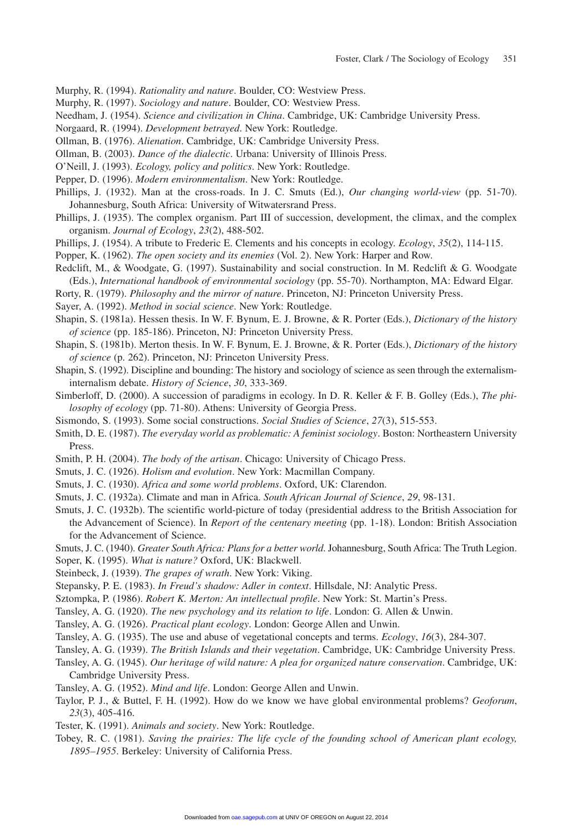Murphy, R. (1994). *Rationality and nature*. Boulder, CO: Westview Press.

Murphy, R. (1997). *Sociology and nature*. Boulder, CO: Westview Press.

Needham, J. (1954). *Science and civilization in China*. Cambridge, UK: Cambridge University Press.

- Norgaard, R. (1994). *Development betrayed*. New York: Routledge.
- Ollman, B. (1976). *Alienation*. Cambridge, UK: Cambridge University Press.
- Ollman, B. (2003). *Dance of the dialectic*. Urbana: University of Illinois Press.
- O'Neill, J. (1993). *Ecology, policy and politics*. New York: Routledge.
- Pepper, D. (1996). *Modern environmentalism*. New York: Routledge.
- Phillips, J. (1932). Man at the cross-roads. In J. C. Smuts (Ed.), *Our changing world-view* (pp. 51-70). Johannesburg, South Africa: University of Witwatersrand Press.
- Phillips, J. (1935). The complex organism. Part III of succession, development, the climax, and the complex organism. *Journal of Ecology*, *23*(2), 488-502.
- Phillips, J. (1954). A tribute to Frederic E. Clements and his concepts in ecology. *Ecology*, *35*(2), 114-115.

Popper, K. (1962). *The open society and its enemies* (Vol. 2). New York: Harper and Row.

- Redclift, M., & Woodgate, G. (1997). Sustainability and social construction. In M. Redclift & G. Woodgate (Eds.), *International handbook of environmental sociology* (pp. 55-70). Northampton, MA: Edward Elgar.
- Rorty, R. (1979). *Philosophy and the mirror of nature*. Princeton, NJ: Princeton University Press.
- Sayer, A. (1992). *Method in social science*. New York: Routledge.
- Shapin, S. (1981a). Hessen thesis. In W. F. Bynum, E. J. Browne, & R. Porter (Eds.), *Dictionary of the history of science* (pp. 185-186). Princeton, NJ: Princeton University Press.
- Shapin, S. (1981b). Merton thesis. In W. F. Bynum, E. J. Browne, & R. Porter (Eds.), *Dictionary of the history of science* (p. 262). Princeton, NJ: Princeton University Press.

Shapin, S. (1992). Discipline and bounding: The history and sociology of science as seen through the externalisminternalism debate. *History of Science*, *30*, 333-369.

- Simberloff, D. (2000). A succession of paradigms in ecology. In D. R. Keller & F. B. Golley (Eds.), *The philosophy of ecology* (pp. 71-80). Athens: University of Georgia Press.
- Sismondo, S. (1993). Some social constructions. *Social Studies of Science*, *27*(3), 515-553.
- Smith, D. E. (1987). *The everyday world as problematic: A feminist sociology*. Boston: Northeastern University Press.
- Smith, P. H. (2004). *The body of the artisan*. Chicago: University of Chicago Press.
- Smuts, J. C. (1926). *Holism and evolution*. New York: Macmillan Company.
- Smuts, J. C. (1930). *Africa and some world problems*. Oxford, UK: Clarendon.
- Smuts, J. C. (1932a). Climate and man in Africa. *South African Journal of Science*, *29*, 98-131.
- Smuts, J. C. (1932b). The scientific world-picture of today (presidential address to the British Association for the Advancement of Science). In *Report of the centenary meeting* (pp. 1-18). London: British Association for the Advancement of Science.
- Smuts, J. C. (1940). *Greater South Africa: Plans for a better world*. Johannesburg, South Africa: The Truth Legion.
- Soper, K. (1995). *What is nature?* Oxford, UK: Blackwell.
- Steinbeck, J. (1939). *The grapes of wrath*. New York: Viking.
- Stepansky, P. E. (1983). *In Freud's shadow: Adler in context*. Hillsdale, NJ: Analytic Press.
- Sztompka, P. (1986). *Robert K. Merton: An intellectual profile*. New York: St. Martin's Press.
- Tansley, A. G. (1920). *The new psychology and its relation to life*. London: G. Allen & Unwin.
- Tansley, A. G. (1926). *Practical plant ecology*. London: George Allen and Unwin.
- Tansley, A. G. (1935). The use and abuse of vegetational concepts and terms. *Ecology*, *16*(3), 284-307.
- Tansley, A. G. (1939). *The British Islands and their vegetation*. Cambridge, UK: Cambridge University Press.
- Tansley, A. G. (1945). *Our heritage of wild nature: A plea for organized nature conservation*. Cambridge, UK: Cambridge University Press.
- Tansley, A. G. (1952). *Mind and life*. London: George Allen and Unwin.
- Taylor, P. J., & Buttel, F. H. (1992). How do we know we have global environmental problems? *Geoforum*, *23*(3), 405-416.
- Tester, K. (1991). *Animals and society*. New York: Routledge.
- Tobey, R. C. (1981). *Saving the prairies: The life cycle of the founding school of American plant ecology, 1895–1955*. Berkeley: University of California Press.